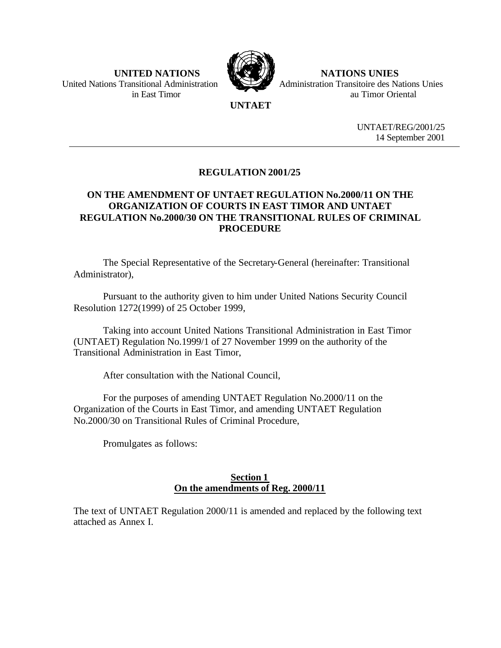

 **UNITED NATIONS NATIONS UNIES** United Nations Transitional Administration **Administration** Administration Transitoire des Nations Unies in East Timor au Timor Oriental

# **UNTAET**

UNTAET/REG/2001/25 14 September 2001

# **REGULATION 2001/25**

# **ON THE AMENDMENT OF UNTAET REGULATION No.2000/11 ON THE ORGANIZATION OF COURTS IN EAST TIMOR AND UNTAET REGULATION No.2000/30 ON THE TRANSITIONAL RULES OF CRIMINAL PROCEDURE**

The Special Representative of the Secretary-General (hereinafter: Transitional Administrator),

Pursuant to the authority given to him under United Nations Security Council Resolution 1272(1999) of 25 October 1999,

Taking into account United Nations Transitional Administration in East Timor (UNTAET) Regulation No.1999/1 of 27 November 1999 on the authority of the Transitional Administration in East Timor,

After consultation with the National Council,

For the purposes of amending UNTAET Regulation No.2000/11 on the Organization of the Courts in East Timor, and amending UNTAET Regulation No.2000/30 on Transitional Rules of Criminal Procedure,

Promulgates as follows:

# **Section 1 On the amendments of Reg. 2000/11**

The text of UNTAET Regulation 2000/11 is amended and replaced by the following text attached as Annex I.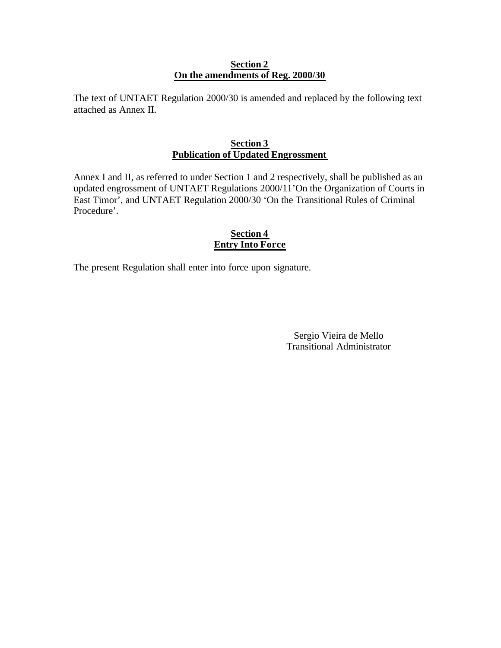### **Section 2 On the amendments of Reg. 2000/30**

The text of UNTAET Regulation 2000/30 is amended and replaced by the following text attached as Annex II.

# **Section 3 Publication of Updated Engrossment**

Annex I and II, as referred to under Section 1 and 2 respectively, shall be published as an updated engrossment of UNTAET Regulations 2000/11'On the Organization of Courts in East Timor', and UNTAET Regulation 2000/30 'On the Transitional Rules of Criminal Procedure'.

# **Section 4 Entry Into Force**

The present Regulation shall enter into force upon signature.

Sergio Vieira de Mello Transitional Administrator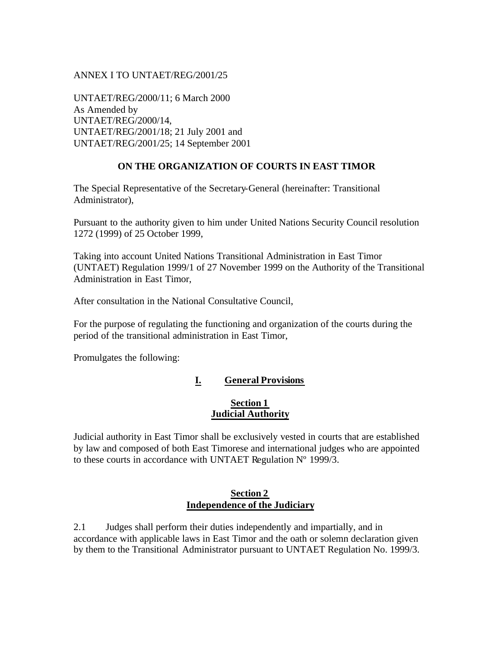### ANNEX I TO UNTAET/REG/2001/25

UNTAET/REG/2000/11; 6 March 2000 As Amended by UNTAET/REG/2000/14, UNTAET/REG/2001/18; 21 July 2001 and UNTAET/REG/2001/25; 14 September 2001

# **ON THE ORGANIZATION OF COURTS IN EAST TIMOR**

The Special Representative of the Secretary-General (hereinafter: Transitional Administrator),

Pursuant to the authority given to him under United Nations Security Council resolution 1272 (1999) of 25 October 1999,

Taking into account United Nations Transitional Administration in East Timor (UNTAET) Regulation 1999/1 of 27 November 1999 on the Authority of the Transitional Administration in East Timor,

After consultation in the National Consultative Council,

For the purpose of regulating the functioning and organization of the courts during the period of the transitional administration in East Timor,

Promulgates the following:

# **I. General Provisions**

# **Section 1 Judicial Authority**

Judicial authority in East Timor shall be exclusively vested in courts that are established by law and composed of both East Timorese and international judges who are appointed to these courts in accordance with UNTAET Regulation Nº 1999/3.

### **Section 2 Independence of the Judiciary**

2.1 Judges shall perform their duties independently and impartially, and in accordance with applicable laws in East Timor and the oath or solemn declaration given by them to the Transitional Administrator pursuant to UNTAET Regulation No. 1999/3.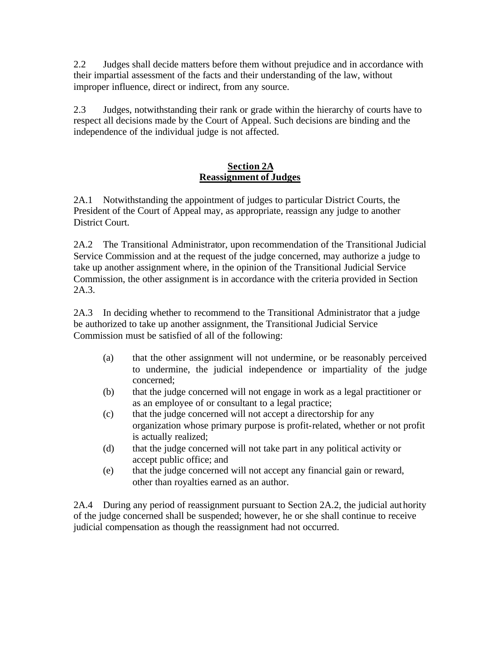2.2 Judges shall decide matters before them without prejudice and in accordance with their impartial assessment of the facts and their understanding of the law, without improper influence, direct or indirect, from any source.

2.3 Judges, notwithstanding their rank or grade within the hierarchy of courts have to respect all decisions made by the Court of Appeal. Such decisions are binding and the independence of the individual judge is not affected.

# **Section 2A Reassignment of Judges**

2A.1 Notwithstanding the appointment of judges to particular District Courts, the President of the Court of Appeal may, as appropriate, reassign any judge to another District Court.

2A.2 The Transitional Administrator, upon recommendation of the Transitional Judicial Service Commission and at the request of the judge concerned, may authorize a judge to take up another assignment where, in the opinion of the Transitional Judicial Service Commission, the other assignment is in accordance with the criteria provided in Section 2A.3.

2A.3 In deciding whether to recommend to the Transitional Administrator that a judge be authorized to take up another assignment, the Transitional Judicial Service Commission must be satisfied of all of the following:

- (a) that the other assignment will not undermine, or be reasonably perceived to undermine, the judicial independence or impartiality of the judge concerned;
- (b) that the judge concerned will not engage in work as a legal practitioner or as an employee of or consultant to a legal practice;
- (c) that the judge concerned will not accept a directorship for any organization whose primary purpose is profit-related, whether or not profit is actually realized;
- (d) that the judge concerned will not take part in any political activity or accept public office; and
- (e) that the judge concerned will not accept any financial gain or reward, other than royalties earned as an author.

2A.4 During any period of reassignment pursuant to Section 2A.2, the judicial authority of the judge concerned shall be suspended; however, he or she shall continue to receive judicial compensation as though the reassignment had not occurred.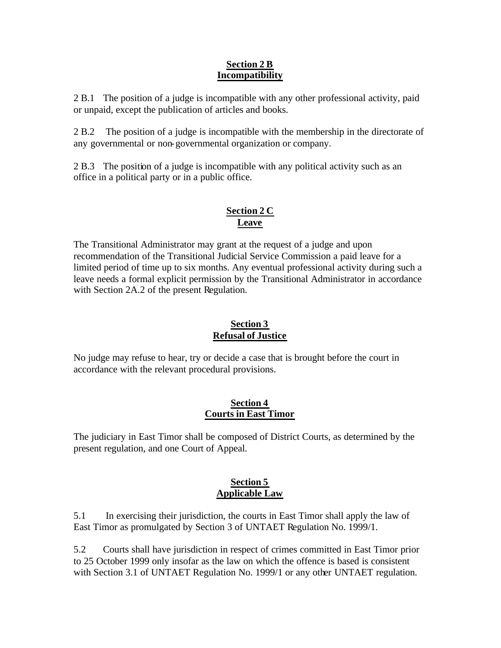# **Section 2 B Incompatibility**

2 B.1 The position of a judge is incompatible with any other professional activity, paid or unpaid, except the publication of articles and books.

2 B.2 The position of a judge is incompatible with the membership in the directorate of any governmental or non-governmental organization or company.

2 B.3 The position of a judge is incompatible with any political activity such as an office in a political party or in a public office.

# **Section 2 C Leave**

The Transitional Administrator may grant at the request of a judge and upon recommendation of the Transitional Judicial Service Commission a paid leave for a limited period of time up to six months. Any eventual professional activity during such a leave needs a formal explicit permission by the Transitional Administrator in accordance with Section 2A.2 of the present Regulation.

# **Section 3 Refusal of Justice**

No judge may refuse to hear, try or decide a case that is brought before the court in accordance with the relevant procedural provisions.

# **Section 4 Courts in East Timor**

The judiciary in East Timor shall be composed of District Courts, as determined by the present regulation, and one Court of Appeal.

# **Section 5 Applicable Law**

5.1 In exercising their jurisdiction, the courts in East Timor shall apply the law of East Timor as promulgated by Section 3 of UNTAET Regulation No. 1999/1.

5.2 Courts shall have jurisdiction in respect of crimes committed in East Timor prior to 25 October 1999 only insofar as the law on which the offence is based is consistent with Section 3.1 of UNTAET Regulation No. 1999/1 or any other UNTAET regulation.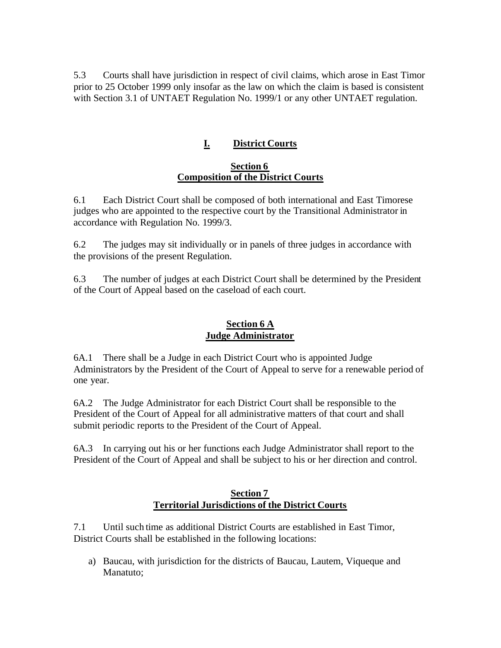5.3 Courts shall have jurisdiction in respect of civil claims, which arose in East Timor prior to 25 October 1999 only insofar as the law on which the claim is based is consistent with Section 3.1 of UNTAET Regulation No. 1999/1 or any other UNTAET regulation.

# **I. District Courts**

### **Section 6 Composition of the District Courts**

6.1 Each District Court shall be composed of both international and East Timorese judges who are appointed to the respective court by the Transitional Administrator in accordance with Regulation No. 1999/3.

6.2 The judges may sit individually or in panels of three judges in accordance with the provisions of the present Regulation.

6.3 The number of judges at each District Court shall be determined by the President of the Court of Appeal based on the caseload of each court.

# **Section 6 A Judge Administrator**

6A.1 There shall be a Judge in each District Court who is appointed Judge Administrators by the President of the Court of Appeal to serve for a renewable period of one year.

6A.2 The Judge Administrator for each District Court shall be responsible to the President of the Court of Appeal for all administrative matters of that court and shall submit periodic reports to the President of the Court of Appeal.

6A.3 In carrying out his or her functions each Judge Administrator shall report to the President of the Court of Appeal and shall be subject to his or her direction and control.

# **Section 7 Territorial Jurisdictions of the District Courts**

7.1 Until such time as additional District Courts are established in East Timor, District Courts shall be established in the following locations:

a) Baucau, with jurisdiction for the districts of Baucau, Lautem, Viqueque and Manatuto;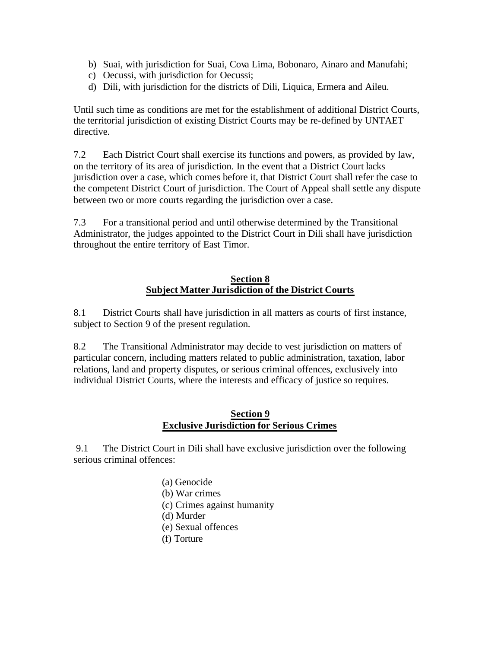- b) Suai, with jurisdiction for Suai, Cova Lima, Bobonaro, Ainaro and Manufahi;
- c) Oecussi, with jurisdiction for Oecussi;
- d) Dili, with jurisdiction for the districts of Dili, Liquica, Ermera and Aileu.

Until such time as conditions are met for the establishment of additional District Courts, the territorial jurisdiction of existing District Courts may be re-defined by UNTAET directive.

7.2 Each District Court shall exercise its functions and powers, as provided by law, on the territory of its area of jurisdiction. In the event that a District Court lacks jurisdiction over a case, which comes before it, that District Court shall refer the case to the competent District Court of jurisdiction. The Court of Appeal shall settle any dispute between two or more courts regarding the jurisdiction over a case.

7.3 For a transitional period and until otherwise determined by the Transitional Administrator, the judges appointed to the District Court in Dili shall have jurisdiction throughout the entire territory of East Timor.

# **Section 8 Subject Matter Jurisdiction of the District Courts**

8.1 District Courts shall have jurisdiction in all matters as courts of first instance, subject to Section 9 of the present regulation.

8.2 The Transitional Administrator may decide to vest jurisdiction on matters of particular concern, including matters related to public administration, taxation, labor relations, land and property disputes, or serious criminal offences, exclusively into individual District Courts, where the interests and efficacy of justice so requires.

# **Section 9 Exclusive Jurisdiction for Serious Crimes**

 9.1 The District Court in Dili shall have exclusive jurisdiction over the following serious criminal offences:

> (a) Genocide (b) War crimes (c) Crimes against humanity (d) Murder (e) Sexual offences (f) Torture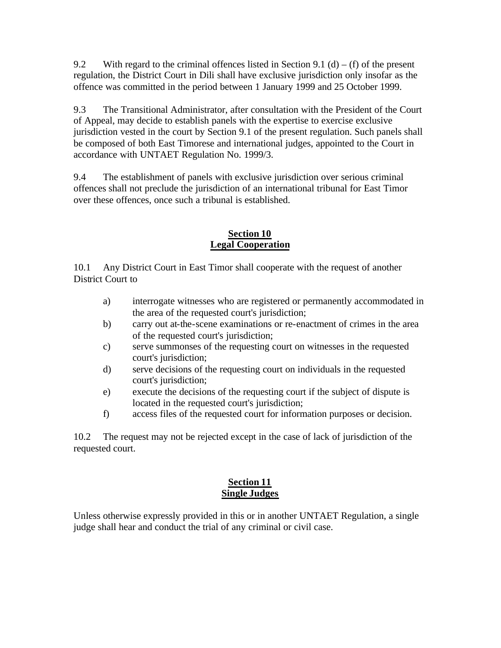9.2 With regard to the criminal offences listed in Section 9.1 (d) – (f) of the present regulation, the District Court in Dili shall have exclusive jurisdiction only insofar as the offence was committed in the period between 1 January 1999 and 25 October 1999.

9.3 The Transitional Administrator, after consultation with the President of the Court of Appeal, may decide to establish panels with the expertise to exercise exclusive jurisdiction vested in the court by Section 9.1 of the present regulation. Such panels shall be composed of both East Timorese and international judges, appointed to the Court in accordance with UNTAET Regulation No. 1999/3.

9.4 The establishment of panels with exclusive jurisdiction over serious criminal offences shall not preclude the jurisdiction of an international tribunal for East Timor over these offences, once such a tribunal is established.

# **Section 10 Legal Cooperation**

10.1 Any District Court in East Timor shall cooperate with the request of another District Court to

- a) interrogate witnesses who are registered or permanently accommodated in the area of the requested court's jurisdiction;
- b) carry out at-the-scene examinations or re-enactment of crimes in the area of the requested court's jurisdiction;
- c) serve summonses of the requesting court on witnesses in the requested court's jurisdiction;
- d) serve decisions of the requesting court on individuals in the requested court's jurisdiction;
- e) execute the decisions of the requesting court if the subject of dispute is located in the requested court's jurisdiction;
- f) access files of the requested court for information purposes or decision.

10.2 The request may not be rejected except in the case of lack of jurisdiction of the requested court.

# **Section 11 Single Judges**

Unless otherwise expressly provided in this or in another UNTAET Regulation, a single judge shall hear and conduct the trial of any criminal or civil case.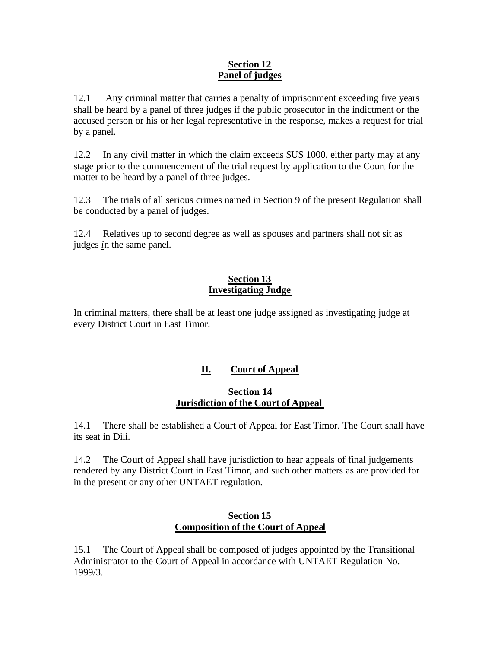# **Section 12 Panel of judges**

12.1 Any criminal matter that carries a penalty of imprisonment exceeding five years shall be heard by a panel of three judges if the public prosecutor in the indictment or the accused person or his or her legal representative in the response, makes a request for trial by a panel.

12.2 In any civil matter in which the claim exceeds \$US 1000, either party may at any stage prior to the commencement of the trial request by application to the Court for the matter to be heard by a panel of three judges.

12.3 The trials of all serious crimes named in Section 9 of the present Regulation shall be conducted by a panel of judges.

12.4 Relatives up to second degree as well as spouses and partners shall not sit as judges *i*n the same panel.

# **Section 13 Investigating Judge**

In criminal matters, there shall be at least one judge assigned as investigating judge at every District Court in East Timor.

# **II. Court of Appeal**

# **Section 14 Jurisdiction of the Court of Appeal**

14.1 There shall be established a Court of Appeal for East Timor. The Court shall have its seat in Dili.

14.2 The Court of Appeal shall have jurisdiction to hear appeals of final judgements rendered by any District Court in East Timor, and such other matters as are provided for in the present or any other UNTAET regulation.

# **Section 15 Composition of the Court of Appeal**

15.1 The Court of Appeal shall be composed of judges appointed by the Transitional Administrator to the Court of Appeal in accordance with UNTAET Regulation No. 1999/3.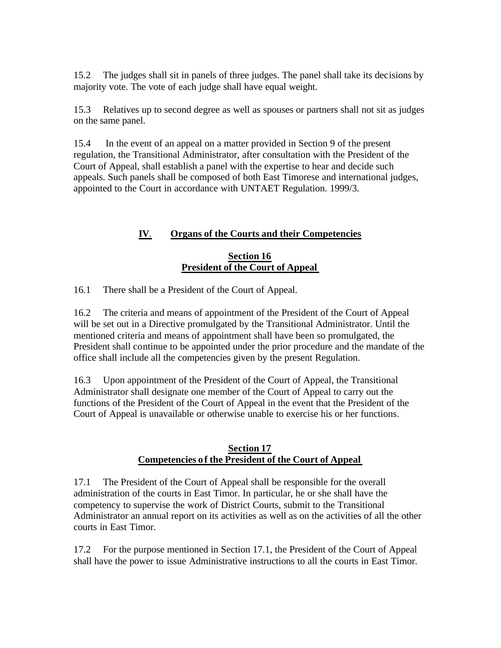15.2 The judges shall sit in panels of three judges. The panel shall take its decisions by majority vote. The vote of each judge shall have equal weight.

15.3 Relatives up to second degree as well as spouses or partners shall not sit as judges on the same panel.

15.4 In the event of an appeal on a matter provided in Section 9 of the present regulation, the Transitional Administrator, after consultation with the President of the Court of Appeal, shall establish a panel with the expertise to hear and decide such appeals. Such panels shall be composed of both East Timorese and international judges, appointed to the Court in accordance with UNTAET Regulation. 1999/3.

# **IV**. **Organs of the Courts and their Competencies**

# **Section 16 President of the Court of Appeal**

16.1 There shall be a President of the Court of Appeal.

16.2 The criteria and means of appointment of the President of the Court of Appeal will be set out in a Directive promulgated by the Transitional Administrator. Until the mentioned criteria and means of appointment shall have been so promulgated, the President shall continue to be appointed under the prior procedure and the mandate of the office shall include all the competencies given by the present Regulation.

16.3 Upon appointment of the President of the Court of Appeal, the Transitional Administrator shall designate one member of the Court of Appeal to carry out the functions of the President of the Court of Appeal in the event that the President of the Court of Appeal is unavailable or otherwise unable to exercise his or her functions.

### **Section 17 Competencies of the President of the Court of Appeal**

17.1 The President of the Court of Appeal shall be responsible for the overall administration of the courts in East Timor. In particular, he or she shall have the competency to supervise the work of District Courts, submit to the Transitional Administrator an annual report on its activities as well as on the activities of all the other courts in East Timor.

17.2 For the purpose mentioned in Section 17.1, the President of the Court of Appeal shall have the power to issue Administrative instructions to all the courts in East Timor.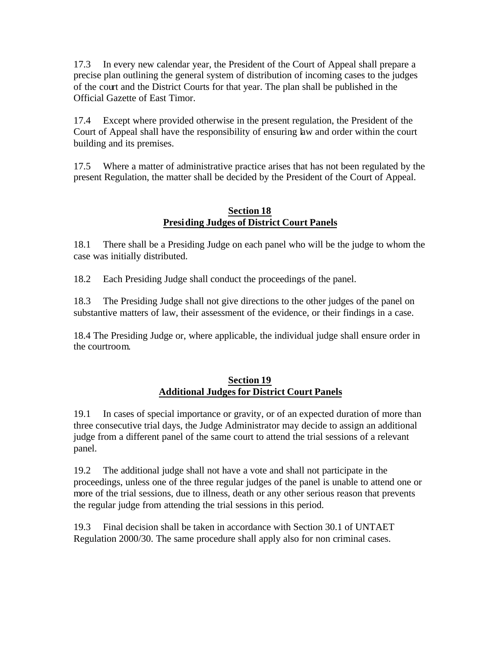17.3 In every new calendar year, the President of the Court of Appeal shall prepare a precise plan outlining the general system of distribution of incoming cases to the judges of the court and the District Courts for that year. The plan shall be published in the Official Gazette of East Timor.

17.4 Except where provided otherwise in the present regulation, the President of the Court of Appeal shall have the responsibility of ensuring law and order within the court building and its premises.

17.5 Where a matter of administrative practice arises that has not been regulated by the present Regulation, the matter shall be decided by the President of the Court of Appeal.

# **Section 18 Presiding Judges of District Court Panels**

18.1 There shall be a Presiding Judge on each panel who will be the judge to whom the case was initially distributed.

18.2 Each Presiding Judge shall conduct the proceedings of the panel.

18.3 The Presiding Judge shall not give directions to the other judges of the panel on substantive matters of law, their assessment of the evidence, or their findings in a case.

18.4 The Presiding Judge or, where applicable, the individual judge shall ensure order in the courtroom.

# **Section 19 Additional Judges for District Court Panels**

19.1 In cases of special importance or gravity, or of an expected duration of more than three consecutive trial days, the Judge Administrator may decide to assign an additional judge from a different panel of the same court to attend the trial sessions of a relevant panel.

19.2 The additional judge shall not have a vote and shall not participate in the proceedings, unless one of the three regular judges of the panel is unable to attend one or more of the trial sessions, due to illness, death or any other serious reason that prevents the regular judge from attending the trial sessions in this period.

19.3 Final decision shall be taken in accordance with Section 30.1 of UNTAET Regulation 2000/30. The same procedure shall apply also for non criminal cases.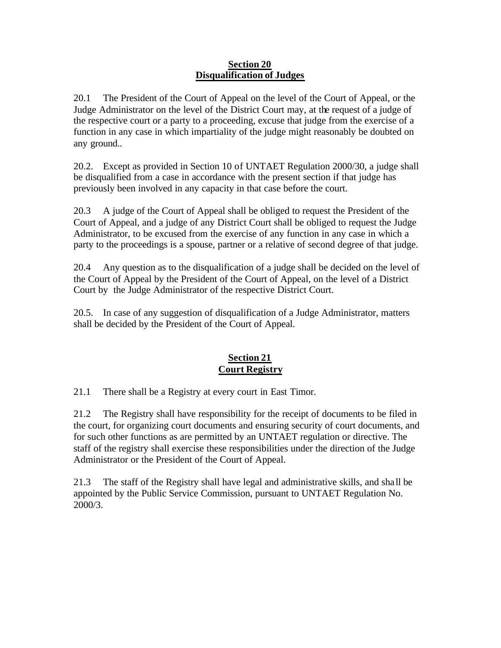## **Section 20 Disqualification of Judges**

20.1 The President of the Court of Appeal on the level of the Court of Appeal, or the Judge Administrator on the level of the District Court may, at the request of a judge of the respective court or a party to a proceeding, excuse that judge from the exercise of a function in any case in which impartiality of the judge might reasonably be doubted on any ground..

20.2. Except as provided in Section 10 of UNTAET Regulation 2000/30, a judge shall be disqualified from a case in accordance with the present section if that judge has previously been involved in any capacity in that case before the court.

20.3 A judge of the Court of Appeal shall be obliged to request the President of the Court of Appeal, and a judge of any District Court shall be obliged to request the Judge Administrator, to be excused from the exercise of any function in any case in which a party to the proceedings is a spouse, partner or a relative of second degree of that judge.

20.4 Any question as to the disqualification of a judge shall be decided on the level of the Court of Appeal by the President of the Court of Appeal, on the level of a District Court by the Judge Administrator of the respective District Court.

20.5. In case of any suggestion of disqualification of a Judge Administrator, matters shall be decided by the President of the Court of Appeal.

# **Section 21 Court Registry**

21.1 There shall be a Registry at every court in East Timor.

21.2 The Registry shall have responsibility for the receipt of documents to be filed in the court, for organizing court documents and ensuring security of court documents, and for such other functions as are permitted by an UNTAET regulation or directive. The staff of the registry shall exercise these responsibilities under the direction of the Judge Administrator or the President of the Court of Appeal.

21.3 The staff of the Registry shall have legal and administrative skills, and sha ll be appointed by the Public Service Commission, pursuant to UNTAET Regulation No. 2000/3.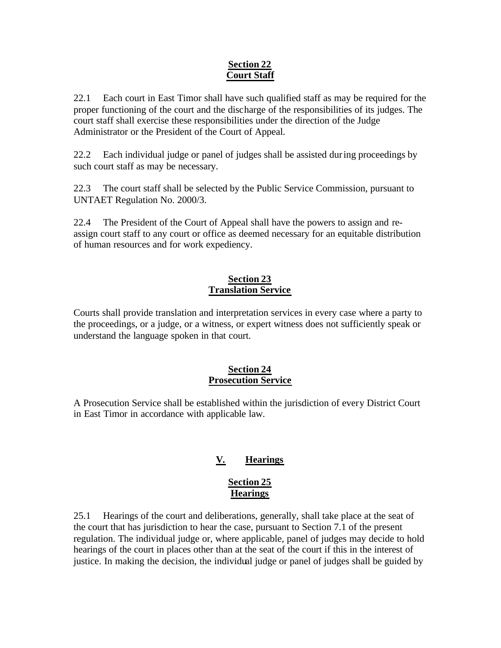# **Section 22 Court Staff**

22.1 Each court in East Timor shall have such qualified staff as may be required for the proper functioning of the court and the discharge of the responsibilities of its judges. The court staff shall exercise these responsibilities under the direction of the Judge Administrator or the President of the Court of Appeal.

22.2 Each individual judge or panel of judges shall be assisted during proceedings by such court staff as may be necessary.

22.3 The court staff shall be selected by the Public Service Commission, pursuant to UNTAET Regulation No. 2000/3.

22.4 The President of the Court of Appeal shall have the powers to assign and reassign court staff to any court or office as deemed necessary for an equitable distribution of human resources and for work expediency.

# **Section 23 Translation Service**

Courts shall provide translation and interpretation services in every case where a party to the proceedings, or a judge, or a witness, or expert witness does not sufficiently speak or understand the language spoken in that court.

# **Section 24 Prosecution Service**

A Prosecution Service shall be established within the jurisdiction of every District Court in East Timor in accordance with applicable law.

# **V. Hearings**

# **Section 25 Hearings**

25.1 Hearings of the court and deliberations, generally, shall take place at the seat of the court that has jurisdiction to hear the case, pursuant to Section 7.1 of the present regulation. The individual judge or, where applicable, panel of judges may decide to hold hearings of the court in places other than at the seat of the court if this in the interest of justice. In making the decision, the individual judge or panel of judges shall be guided by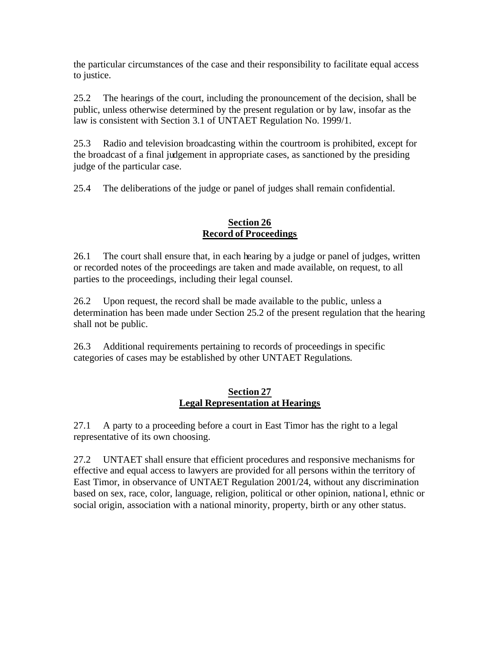the particular circumstances of the case and their responsibility to facilitate equal access to justice.

25.2 The hearings of the court, including the pronouncement of the decision, shall be public, unless otherwise determined by the present regulation or by law, insofar as the law is consistent with Section 3.1 of UNTAET Regulation No. 1999/1.

25.3 Radio and television broadcasting within the courtroom is prohibited, except for the broadcast of a final judgement in appropriate cases, as sanctioned by the presiding judge of the particular case.

25.4 The deliberations of the judge or panel of judges shall remain confidential.

# **Section 26 Record of Proceedings**

26.1 The court shall ensure that, in each hearing by a judge or panel of judges, written or recorded notes of the proceedings are taken and made available, on request, to all parties to the proceedings, including their legal counsel.

26.2 Upon request, the record shall be made available to the public, unless a determination has been made under Section 25.2 of the present regulation that the hearing shall not be public.

26.3 Additional requirements pertaining to records of proceedings in specific categories of cases may be established by other UNTAET Regulations.

# **Section 27 Legal Representation at Hearings**

27.1 A party to a proceeding before a court in East Timor has the right to a legal representative of its own choosing.

27.2 UNTAET shall ensure that efficient procedures and responsive mechanisms for effective and equal access to lawyers are provided for all persons within the territory of East Timor, in observance of UNTAET Regulation 2001/24, without any discrimination based on sex, race, color, language, religion, political or other opinion, nationa l, ethnic or social origin, association with a national minority, property, birth or any other status.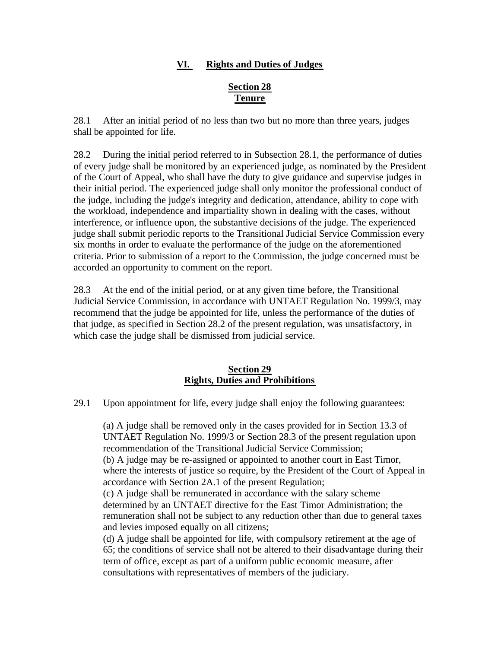# **VI. Rights and Duties of Judges**

# **Section 28 Tenure**

28.1 After an initial period of no less than two but no more than three years, judges shall be appointed for life.

28.2 During the initial period referred to in Subsection 28.1, the performance of duties of every judge shall be monitored by an experienced judge, as nominated by the President of the Court of Appeal, who shall have the duty to give guidance and supervise judges in their initial period. The experienced judge shall only monitor the professional conduct of the judge, including the judge's integrity and dedication, attendance, ability to cope with the workload, independence and impartiality shown in dealing with the cases, without interference, or influence upon, the substantive decisions of the judge. The experienced judge shall submit periodic reports to the Transitional Judicial Service Commission every six months in order to evalua te the performance of the judge on the aforementioned criteria. Prior to submission of a report to the Commission, the judge concerned must be accorded an opportunity to comment on the report.

28.3 At the end of the initial period, or at any given time before, the Transitional Judicial Service Commission, in accordance with UNTAET Regulation No. 1999/3, may recommend that the judge be appointed for life, unless the performance of the duties of that judge, as specified in Section 28.2 of the present regulation, was unsatisfactory, in which case the judge shall be dismissed from judicial service.

# **Section 29 Rights, Duties and Prohibitions**

29.1 Upon appointment for life, every judge shall enjoy the following guarantees:

(a) A judge shall be removed only in the cases provided for in Section 13.3 of UNTAET Regulation No. 1999/3 or Section 28.3 of the present regulation upon recommendation of the Transitional Judicial Service Commission; (b) A judge may be re-assigned or appointed to another court in East Timor, where the interests of justice so require, by the President of the Court of Appeal in accordance with Section 2A.1 of the present Regulation; (c) A judge shall be remunerated in accordance with the salary scheme determined by an UNTAET directive for the East Timor Administration; the remuneration shall not be subject to any reduction other than due to general taxes and levies imposed equally on all citizens; (d) A judge shall be appointed for life, with compulsory retirement at the age of 65; the conditions of service shall not be altered to their disadvantage during their term of office, except as part of a uniform public economic measure, after

consultations with representatives of members of the judiciary.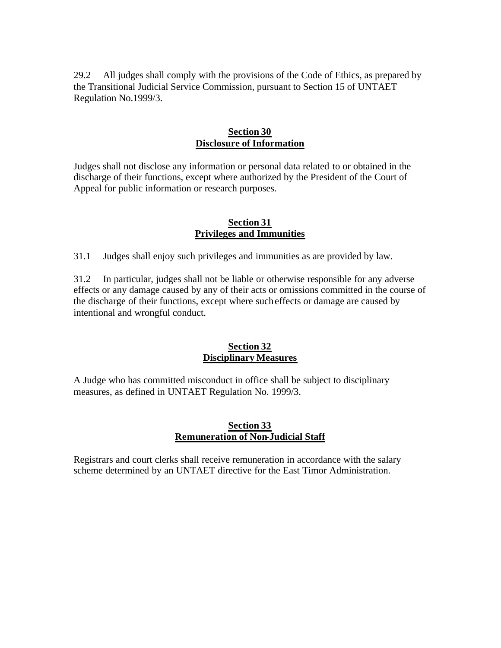29.2 All judges shall comply with the provisions of the Code of Ethics, as prepared by the Transitional Judicial Service Commission, pursuant to Section 15 of UNTAET Regulation No.1999/3.

## **Section 30 Disclosure of Information**

Judges shall not disclose any information or personal data related to or obtained in the discharge of their functions, except where authorized by the President of the Court of Appeal for public information or research purposes.

### **Section 31 Privileges and Immunities**

31.1 Judges shall enjoy such privileges and immunities as are provided by law.

31.2 In particular, judges shall not be liable or otherwise responsible for any adverse effects or any damage caused by any of their acts or omissions committed in the course of the discharge of their functions, except where such effects or damage are caused by intentional and wrongful conduct.

### **Section 32 Disciplinary Measures**

A Judge who has committed misconduct in office shall be subject to disciplinary measures, as defined in UNTAET Regulation No. 1999/3.

# **Section 33 Remuneration of Non-Judicial Staff**

Registrars and court clerks shall receive remuneration in accordance with the salary scheme determined by an UNTAET directive for the East Timor Administration.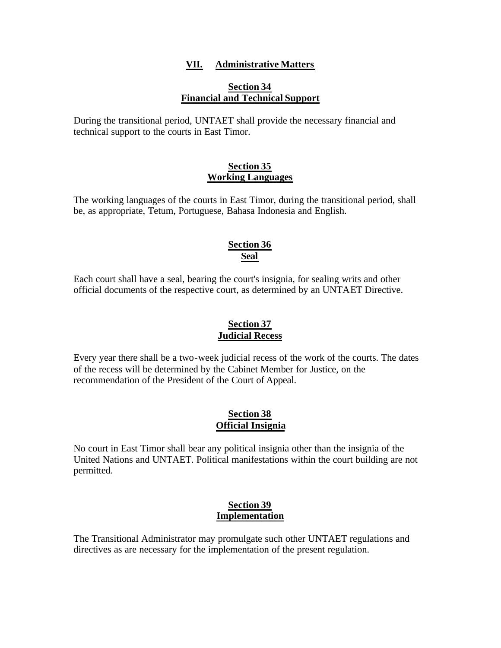# **VII. Administrative Matters**

### **Section 34 Financial and Technical Support**

During the transitional period, UNTAET shall provide the necessary financial and technical support to the courts in East Timor.

### **Section 35 Working Languages**

The working languages of the courts in East Timor, during the transitional period, shall be, as appropriate, Tetum, Portuguese, Bahasa Indonesia and English.

# **Section 36 Seal**

Each court shall have a seal, bearing the court's insignia, for sealing writs and other official documents of the respective court, as determined by an UNTAET Directive.

# **Section 37 Judicial Recess**

Every year there shall be a two-week judicial recess of the work of the courts. The dates of the recess will be determined by the Cabinet Member for Justice, on the recommendation of the President of the Court of Appeal.

# **Section 38 Official Insignia**

No court in East Timor shall bear any political insignia other than the insignia of the United Nations and UNTAET. Political manifestations within the court building are not permitted.

### **Section 39 Implementation**

The Transitional Administrator may promulgate such other UNTAET regulations and directives as are necessary for the implementation of the present regulation.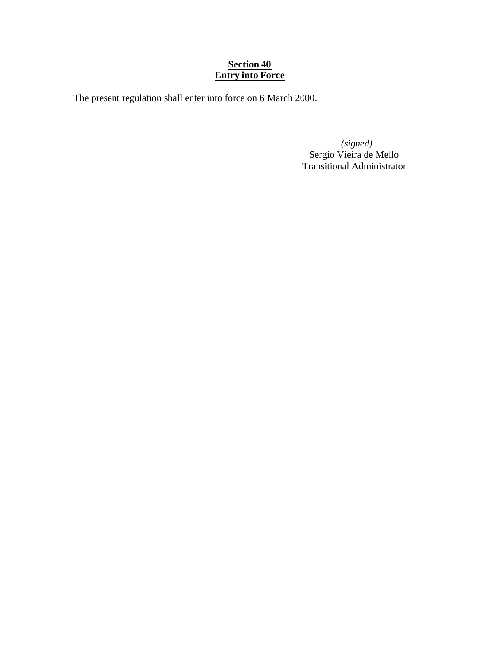# **Section 40 Entry into Force**

The present regulation shall enter into force on 6 March 2000.

 *(signed)* Sergio Vieira de Mello Transitional Administrator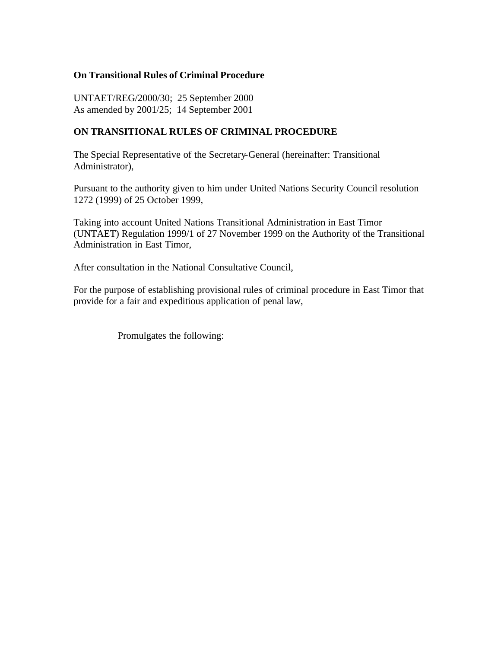## **On Transitional Rules of Criminal Procedure**

UNTAET/REG/2000/30; 25 September 2000 As amended by 2001/25; 14 September 2001

# **ON TRANSITIONAL RULES OF CRIMINAL PROCEDURE**

The Special Representative of the Secretary-General (hereinafter: Transitional Administrator),

Pursuant to the authority given to him under United Nations Security Council resolution 1272 (1999) of 25 October 1999,

Taking into account United Nations Transitional Administration in East Timor (UNTAET) Regulation 1999/1 of 27 November 1999 on the Authority of the Transitional Administration in East Timor,

After consultation in the National Consultative Council,

For the purpose of establishing provisional rules of criminal procedure in East Timor that provide for a fair and expeditious application of penal law,

Promulgates the following: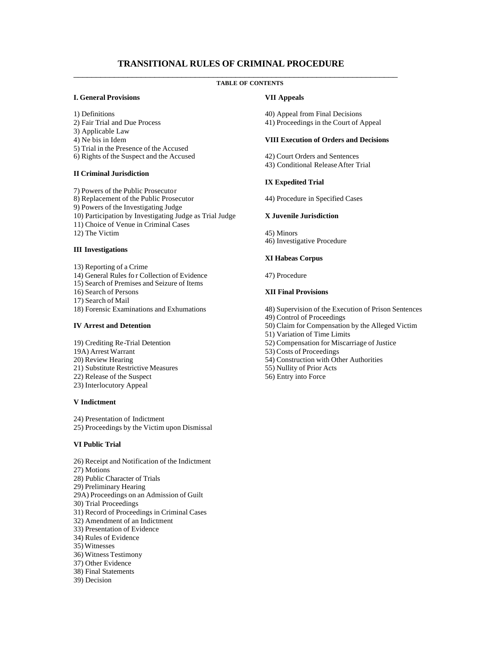#### **TRANSITIONAL RULES OF CRIMINAL PROCEDURE** \_\_\_\_\_\_\_\_\_\_\_\_\_\_\_\_\_\_\_\_\_\_\_\_\_\_\_\_\_\_\_\_\_\_\_\_\_\_\_\_\_\_\_\_\_\_\_\_\_\_\_\_\_\_\_\_\_\_\_\_\_\_\_\_\_\_\_\_\_\_\_\_

#### **TABLE OF CONTENTS**

#### **I. General Provisions**

- 1) Definitions
- 2) Fair Trial and Due Process
- 3) Applicable Law
- 4) Ne bis in Idem
- 5) Trial in the Presence of the Accused
- 6) Rights of the Suspect and the Accused

#### **II Criminal Jurisdiction**

7) Powers of the Public Prosecutor 8) Replacement of the Public Prosecutor 9) Powers of the Investigating Judge 10) Participation by Investigating Judge as Trial Judge 11) Choice of Venue in Criminal Cases 12) The Victim

#### **III Investigations**

- 13) Reporting of a Crime
- 14) General Rules fo r Collection of Evidence
- 15) Search of Premises and Seizure of Items
- 16) Search of Persons
- 17) Search of Mail
- 18) Forensic Examinations and Exhumations

#### **IV Arrest and Detention**

- 19) Crediting Re-Trial Detention
- 19A) Arrest Warrant
- 20) Review Hearing
- 21) Substitute Restrictive Measures
- 22) Release of the Suspect
- 23) Interlocutory Appeal

#### **V Indictment**

- 24) Presentation of Indictment
- 25) Proceedings by the Victim upon Dismissal

#### **VI Public Trial**

- 26) Receipt and Notification of the Indictment
- 27) Motions
- 28) Public Character of Trials
- 29) Preliminary Hearing
- 29A) Proceedings on an Admission of Guilt
- 30) Trial Proceedings
- 31) Record of Proceedings in Criminal Cases
- 32) Amendment of an Indictment
- 33) Presentation of Evidence
- 34) Rules of Evidence
- 35) Witnesses
- 36) Witness Testimony
- 37) Other Evidence
- 38) Final Statements
- 39) Decision

#### **VII Appeals**

- 40) Appeal from Final Decisions
- 41) Proceedings in the Court of Appeal

#### **VIII Execution of Orders and Decisions**

42) Court Orders and Sentences 43) Conditional Release After Trial

#### **IX Expedited Trial**

44) Procedure in Specified Cases

#### **X Juvenile Jurisdiction**

45) Minors 46) Investigative Procedure

#### **XI Habeas Corpus**

47) Procedure

#### **XII Final Provisions**

- 48) Supervision of the Execution of Prison Sentences
- 49) Control of Proceedings
- 50) Claim for Compensation by the Alleged Victim
- 51) Variation of Time Limits
- 52) Compensation for Miscarriage of Justice
- 53) Costs of Proceedings
- 54) Construction with Other Authorities
- 55) Nullity of Prior Acts
- 56) Entry into Force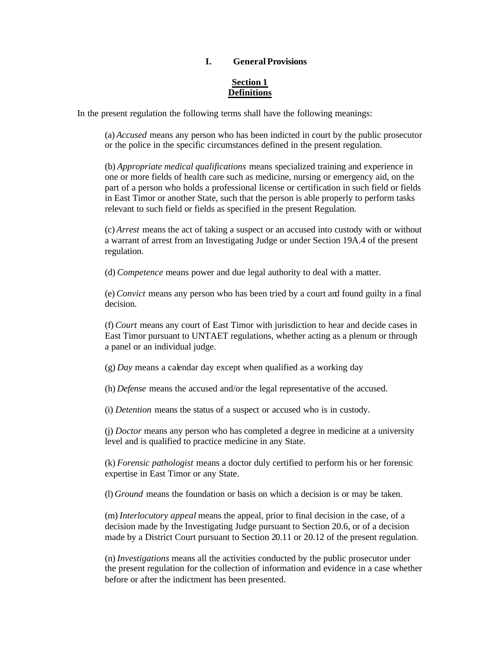#### **I. General Provisions**

#### **Section 1 Definitions**

In the present regulation the following terms shall have the following meanings:

(a) *Accused* means any person who has been indicted in court by the public prosecutor or the police in the specific circumstances defined in the present regulation.

(b) *Appropriate medical qualifications* means specialized training and experience in one or more fields of health care such as medicine, nursing or emergency aid, on the part of a person who holds a professional license or certification in such field or fields in East Timor or another State, such that the person is able properly to perform tasks relevant to such field or fields as specified in the present Regulation.

(c) *Arrest* means the act of taking a suspect or an accused into custody with or without a warrant of arrest from an Investigating Judge or under Section 19A.4 of the present regulation.

(d) *Competence* means power and due legal authority to deal with a matter.

(e) *Convict* means any person who has been tried by a court and found guilty in a final decision.

(f) *Court* means any court of East Timor with jurisdiction to hear and decide cases in East Timor pursuant to UNTAET regulations, whether acting as a plenum or through a panel or an individual judge.

(g) *Day* means a calendar day except when qualified as a working day

(h) *Defense* means the accused and/or the legal representative of the accused.

(i) *Detention* means the status of a suspect or accused who is in custody.

(j) *Doctor* means any person who has completed a degree in medicine at a university level and is qualified to practice medicine in any State.

(k) *Forensic pathologist* means a doctor duly certified to perform his or her forensic expertise in East Timor or any State.

(l) *Ground* means the foundation or basis on which a decision is or may be taken.

(m) *Interlocutory appeal* means the appeal, prior to final decision in the case, of a decision made by the Investigating Judge pursuant to Section 20.6, or of a decision made by a District Court pursuant to Section 20.11 or 20.12 of the present regulation.

(n) *Investigations* means all the activities conducted by the public prosecutor under the present regulation for the collection of information and evidence in a case whether before or after the indictment has been presented.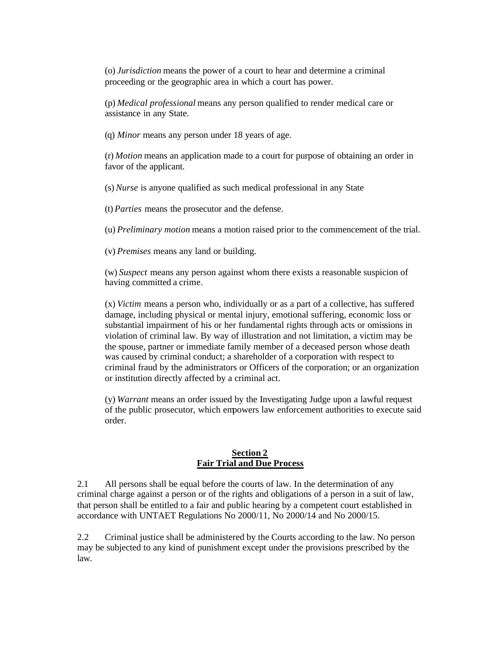(o) *Jurisdiction* means the power of a court to hear and determine a criminal proceeding or the geographic area in which a court has power.

(p) *Medical professional* means any person qualified to render medical care or assistance in any State.

(q) *Minor* means any person under 18 years of age.

(r) *Motion* means an application made to a court for purpose of obtaining an order in favor of the applicant.

(s) *Nurse* is anyone qualified as such medical professional in any State

(t) *Parties* means the prosecutor and the defense.

(u) *Preliminary motion* means a motion raised prior to the commencement of the trial.

(v) *Premises* means any land or building.

(w) *Suspect* means any person against whom there exists a reasonable suspicion of having committed a crime.

(x) *Victim* means a person who, individually or as a part of a collective, has suffered damage, including physical or mental injury, emotional suffering, economic loss or substantial impairment of his or her fundamental rights through acts or omissions in violation of criminal law. By way of illustration and not limitation, a victim may be the spouse, partner or immediate family member of a deceased person whose death was caused by criminal conduct; a shareholder of a corporation with respect to criminal fraud by the administrators or Officers of the corporation; or an organization or institution directly affected by a criminal act.

(y) *Warrant* means an order issued by the Investigating Judge upon a lawful request of the public prosecutor, which empowers law enforcement authorities to execute said order.

#### **Section 2 Fair Trial and Due Process**

2.1 All persons shall be equal before the courts of law. In the determination of any criminal charge against a person or of the rights and obligations of a person in a suit of law, that person shall be entitled to a fair and public hearing by a competent court established in accordance with UNTAET Regulations No 2000/11, No 2000/14 and No 2000/15.

2.2 Criminal justice shall be administered by the Courts according to the law. No person may be subjected to any kind of punishment except under the provisions prescribed by the law.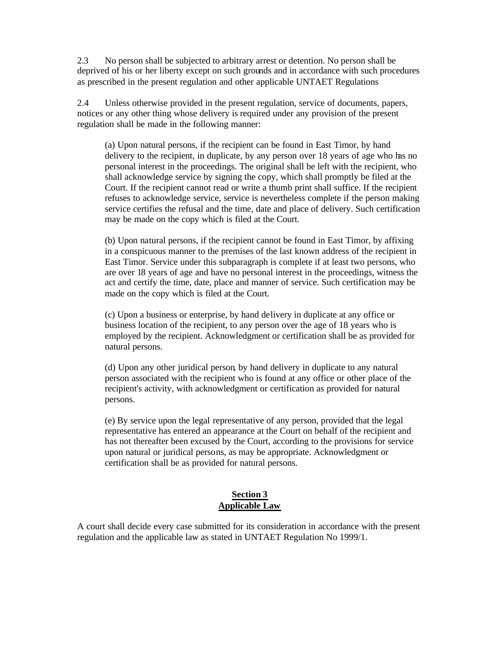2.3 No person shall be subjected to arbitrary arrest or detention. No person shall be deprived of his or her liberty except on such grounds and in accordance with such procedures as prescribed in the present regulation and other applicable UNTAET Regulations

2.4 Unless otherwise provided in the present regulation, service of documents, papers, notices or any other thing whose delivery is required under any provision of the present regulation shall be made in the following manner:

(a) Upon natural persons, if the recipient can be found in East Timor, by hand delivery to the recipient, in duplicate, by any person over 18 years of age who has no personal interest in the proceedings. The original shall be left with the recipient, who shall acknowledge service by signing the copy, which shall promptly be filed at the Court. If the recipient cannot read or write a thumb print shall suffice. If the recipient refuses to acknowledge service, service is nevertheless complete if the person making service certifies the refusal and the time, date and place of delivery. Such certification may be made on the copy which is filed at the Court.

(b) Upon natural persons, if the recipient cannot be found in East Timor, by affixing in a conspicuous manner to the premises of the last known address of the recipient in East Timor. Service under this subparagraph is complete if at least two persons, who are over 18 years of age and have no personal interest in the proceedings, witness the act and certify the time, date, place and manner of service. Such certification may be made on the copy which is filed at the Court.

(c) Upon a business or enterprise, by hand delivery in duplicate at any office or business location of the recipient, to any person over the age of 18 years who is employed by the recipient. Acknowledgment or certification shall be as provided for natural persons.

(d) Upon any other juridical person, by hand delivery in duplicate to any natural person associated with the recipient who is found at any office or other place of the recipient's activity, with acknowledgment or certification as provided for natural persons.

(e) By service upon the legal representative of any person, provided that the legal representative has entered an appearance at the Court on behalf of the recipient and has not thereafter been excused by the Court, according to the provisions for service upon natural or juridical persons, as may be appropriate. Acknowledgment or certification shall be as provided for natural persons.

### **Section 3 Applicable Law**

A court shall decide every case submitted for its consideration in accordance with the present regulation and the applicable law as stated in UNTAET Regulation No 1999/1.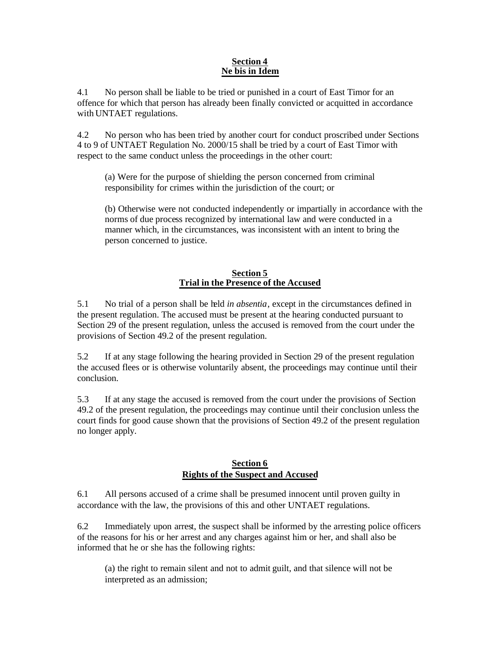#### **Section 4 Ne bis in Idem**

4.1 No person shall be liable to be tried or punished in a court of East Timor for an offence for which that person has already been finally convicted or acquitted in accordance with UNTAET regulations.

4.2 No person who has been tried by another court for conduct proscribed under Sections 4 to 9 of UNTAET Regulation No. 2000/15 shall be tried by a court of East Timor with respect to the same conduct unless the proceedings in the other court:

(a) Were for the purpose of shielding the person concerned from criminal responsibility for crimes within the jurisdiction of the court; or

(b) Otherwise were not conducted independently or impartially in accordance with the norms of due process recognized by international law and were conducted in a manner which, in the circumstances, was inconsistent with an intent to bring the person concerned to justice.

### **Section 5 Trial in the Presence of the Accused**

5.1 No trial of a person shall be held *in absentia*, except in the circumstances defined in the present regulation. The accused must be present at the hearing conducted pursuant to Section 29 of the present regulation, unless the accused is removed from the court under the provisions of Section 49.2 of the present regulation.

5.2 If at any stage following the hearing provided in Section 29 of the present regulation the accused flees or is otherwise voluntarily absent, the proceedings may continue until their conclusion.

5.3 If at any stage the accused is removed from the court under the provisions of Section 49.2 of the present regulation, the proceedings may continue until their conclusion unless the court finds for good cause shown that the provisions of Section 49.2 of the present regulation no longer apply.

### **Section 6 Rights of the Suspect and Accused**

6.1 All persons accused of a crime shall be presumed innocent until proven guilty in accordance with the law, the provisions of this and other UNTAET regulations.

6.2 Immediately upon arrest, the suspect shall be informed by the arresting police officers of the reasons for his or her arrest and any charges against him or her, and shall also be informed that he or she has the following rights:

(a) the right to remain silent and not to admit guilt, and that silence will not be interpreted as an admission;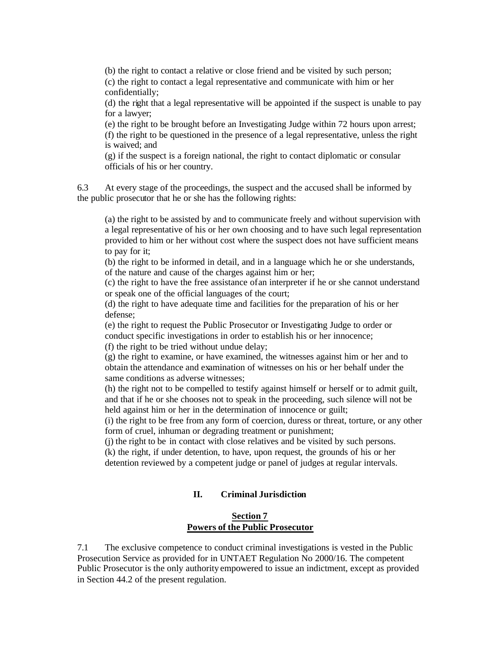(b) the right to contact a relative or close friend and be visited by such person; (c) the right to contact a legal representative and communicate with him or her confidentially;

(d) the right that a legal representative will be appointed if the suspect is unable to pay for a lawyer;

(e) the right to be brought before an Investigating Judge within 72 hours upon arrest; (f) the right to be questioned in the presence of a legal representative, unless the right is waived; and

(g) if the suspect is a foreign national, the right to contact diplomatic or consular officials of his or her country.

6.3 At every stage of the proceedings, the suspect and the accused shall be informed by the public prosecutor that he or she has the following rights:

(a) the right to be assisted by and to communicate freely and without supervision with a legal representative of his or her own choosing and to have such legal representation provided to him or her without cost where the suspect does not have sufficient means to pay for it;

(b) the right to be informed in detail, and in a language which he or she understands, of the nature and cause of the charges against him or her;

(c) the right to have the free assistance of an interpreter if he or she cannot understand or speak one of the official languages of the court;

(d) the right to have adequate time and facilities for the preparation of his or her defense;

(e) the right to request the Public Prosecutor or Investigating Judge to order or conduct specific investigations in order to establish his or her innocence; (f) the right to be tried without undue delay;

(g) the right to examine, or have examined, the witnesses against him or her and to obtain the attendance and examination of witnesses on his or her behalf under the same conditions as adverse witnesses;

(h) the right not to be compelled to testify against himself or herself or to admit guilt, and that if he or she chooses not to speak in the proceeding, such silence will not be held against him or her in the determination of innocence or guilt;

(i) the right to be free from any form of coercion, duress or threat, torture, or any other form of cruel, inhuman or degrading treatment or punishment;

(j) the right to be in contact with close relatives and be visited by such persons.

(k) the right, if under detention, to have, upon request, the grounds of his or her detention reviewed by a competent judge or panel of judges at regular intervals.

### **II. Criminal Jurisdiction**

#### **Section 7 Powers of the Public Prosecutor**

7.1 The exclusive competence to conduct criminal investigations is vested in the Public Prosecution Service as provided for in UNTAET Regulation No 2000/16. The competent Public Prosecutor is the only authority empowered to issue an indictment, except as provided in Section 44.2 of the present regulation.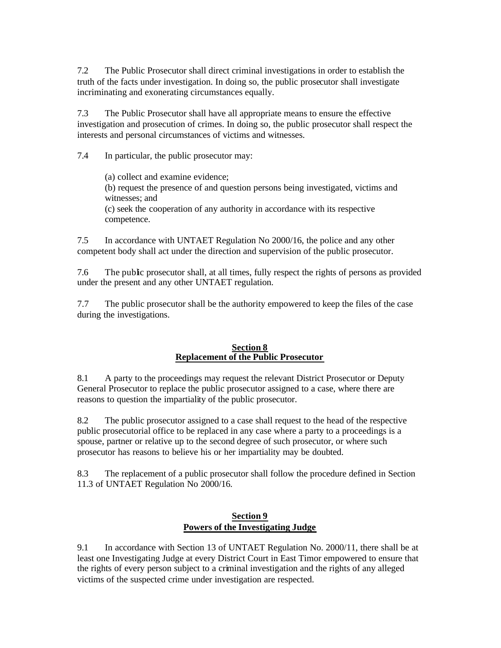7.2 The Public Prosecutor shall direct criminal investigations in order to establish the truth of the facts under investigation. In doing so, the public prosecutor shall investigate incriminating and exonerating circumstances equally.

7.3 The Public Prosecutor shall have all appropriate means to ensure the effective investigation and prosecution of crimes. In doing so, the public prosecutor shall respect the interests and personal circumstances of victims and witnesses.

7.4 In particular, the public prosecutor may:

(a) collect and examine evidence;

(b) request the presence of and question persons being investigated, victims and witnesses; and

(c) seek the cooperation of any authority in accordance with its respective competence.

7.5 In accordance with UNTAET Regulation No 2000/16, the police and any other competent body shall act under the direction and supervision of the public prosecutor.

7.6 The public prosecutor shall, at all times, fully respect the rights of persons as provided under the present and any other UNTAET regulation.

7.7 The public prosecutor shall be the authority empowered to keep the files of the case during the investigations.

#### **Section 8 Replacement of the Public Prosecutor**

8.1 A party to the proceedings may request the relevant District Prosecutor or Deputy General Prosecutor to replace the public prosecutor assigned to a case, where there are reasons to question the impartiality of the public prosecutor.

8.2 The public prosecutor assigned to a case shall request to the head of the respective public prosecutorial office to be replaced in any case where a party to a proceedings is a spouse, partner or relative up to the second degree of such prosecutor, or where such prosecutor has reasons to believe his or her impartiality may be doubted.

8.3 The replacement of a public prosecutor shall follow the procedure defined in Section 11.3 of UNTAET Regulation No 2000/16.

### **Section 9 Powers of the Investigating Judge**

9.1 In accordance with Section 13 of UNTAET Regulation No. 2000/11, there shall be at least one Investigating Judge at every District Court in East Timor empowered to ensure that the rights of every person subject to a criminal investigation and the rights of any alleged victims of the suspected crime under investigation are respected.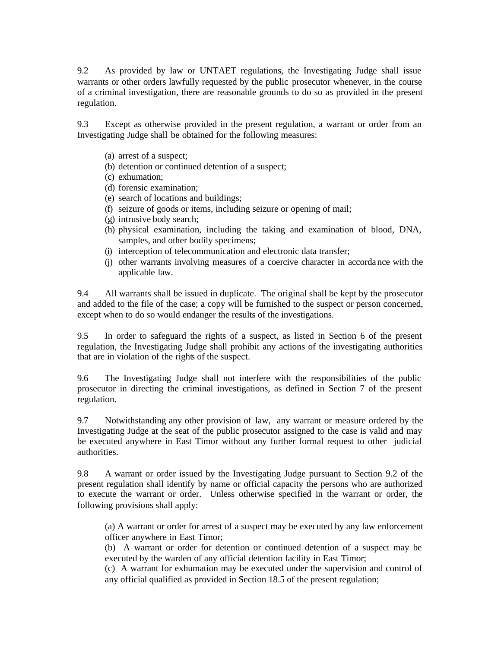9.2 As provided by law or UNTAET regulations, the Investigating Judge shall issue warrants or other orders lawfully requested by the public prosecutor whenever, in the course of a criminal investigation, there are reasonable grounds to do so as provided in the present regulation.

9.3 Except as otherwise provided in the present regulation, a warrant or order from an Investigating Judge shall be obtained for the following measures:

- (a) arrest of a suspect;
- (b) detention or continued detention of a suspect;
- (c) exhumation;
- (d) forensic examination;
- (e) search of locations and buildings;
- (f) seizure of goods or items, including seizure or opening of mail;
- (g) intrusive body search;
- (h) physical examination, including the taking and examination of blood, DNA, samples, and other bodily specimens;
- (i) interception of telecommunication and electronic data transfer;
- (j) other warrants involving measures of a coercive character in accordance with the applicable law.

9.4 All warrants shall be issued in duplicate. The original shall be kept by the prosecutor and added to the file of the case; a copy will be furnished to the suspect or person concerned, except when to do so would endanger the results of the investigations.

9.5 In order to safeguard the rights of a suspect, as listed in Section 6 of the present regulation, the Investigating Judge shall prohibit any actions of the investigating authorities that are in violation of the rights of the suspect.

9.6 The Investigating Judge shall not interfere with the responsibilities of the public prosecutor in directing the criminal investigations, as defined in Section 7 of the present regulation.

9.7 Notwithstanding any other provision of law, any warrant or measure ordered by the Investigating Judge at the seat of the public prosecutor assigned to the case is valid and may be executed anywhere in East Timor without any further formal request to other judicial authorities.

9.8 A warrant or order issued by the Investigating Judge pursuant to Section 9.2 of the present regulation shall identify by name or official capacity the persons who are authorized to execute the warrant or order. Unless otherwise specified in the warrant or order, the following provisions shall apply:

(a) A warrant or order for arrest of a suspect may be executed by any law enforcement officer anywhere in East Timor;

(b) A warrant or order for detention or continued detention of a suspect may be executed by the warden of any official detention facility in East Timor;

(c) A warrant for exhumation may be executed under the supervision and control of any official qualified as provided in Section 18.5 of the present regulation;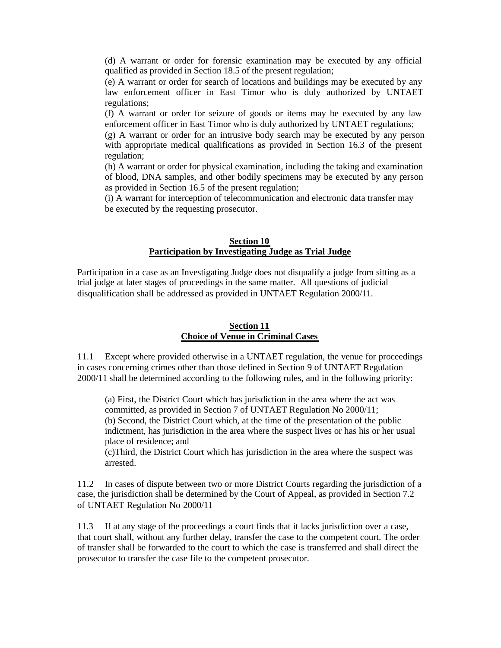(d) A warrant or order for forensic examination may be executed by any official qualified as provided in Section 18.5 of the present regulation;

(e) A warrant or order for search of locations and buildings may be executed by any law enforcement officer in East Timor who is duly authorized by UNTAET regulations;

(f) A warrant or order for seizure of goods or items may be executed by any law enforcement officer in East Timor who is duly authorized by UNTAET regulations;

(g) A warrant or order for an intrusive body search may be executed by any person with appropriate medical qualifications as provided in Section 16.3 of the present regulation;

(h) A warrant or order for physical examination, including the taking and examination of blood, DNA samples, and other bodily specimens may be executed by any person as provided in Section 16.5 of the present regulation;

(i) A warrant for interception of telecommunication and electronic data transfer may be executed by the requesting prosecutor.

#### **Section 10 Participation by Investigating Judge as Trial Judge**

Participation in a case as an Investigating Judge does not disqualify a judge from sitting as a trial judge at later stages of proceedings in the same matter. All questions of judicial disqualification shall be addressed as provided in UNTAET Regulation 2000/11.

#### **Section 11 Choice of Venue in Criminal Cases**

11.1 Except where provided otherwise in a UNTAET regulation, the venue for proceedings in cases concerning crimes other than those defined in Section 9 of UNTAET Regulation 2000/11 shall be determined according to the following rules, and in the following priority:

(a) First, the District Court which has jurisdiction in the area where the act was committed, as provided in Section 7 of UNTAET Regulation No 2000/11; (b) Second, the District Court which, at the time of the presentation of the public indictment, has jurisdiction in the area where the suspect lives or has his or her usual place of residence; and

(c)Third, the District Court which has jurisdiction in the area where the suspect was arrested.

11.2 In cases of dispute between two or more District Courts regarding the jurisdiction of a case, the jurisdiction shall be determined by the Court of Appeal, as provided in Section 7.2 of UNTAET Regulation No 2000/11

11.3 If at any stage of the proceedings a court finds that it lacks jurisdiction over a case, that court shall, without any further delay, transfer the case to the competent court. The order of transfer shall be forwarded to the court to which the case is transferred and shall direct the prosecutor to transfer the case file to the competent prosecutor.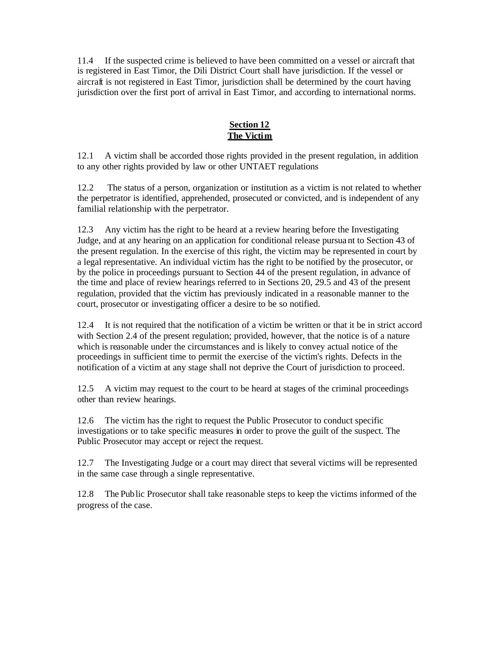11.4 If the suspected crime is believed to have been committed on a vessel or aircraft that is registered in East Timor, the Dili District Court shall have jurisdiction. If the vessel or aircraft is not registered in East Timor, jurisdiction shall be determined by the court having jurisdiction over the first port of arrival in East Timor, and according to international norms.

# **Section 12 The Victim**

12.1 A victim shall be accorded those rights provided in the present regulation, in addition to any other rights provided by law or other UNTAET regulations

12.2 The status of a person, organization or institution as a victim is not related to whether the perpetrator is identified, apprehended, prosecuted or convicted, and is independent of any familial relationship with the perpetrator.

12.3 Any victim has the right to be heard at a review hearing before the Investigating Judge, and at any hearing on an application for conditional release pursua nt to Section 43 of the present regulation. In the exercise of this right, the victim may be represented in court by a legal representative. An individual victim has the right to be notified by the prosecutor, or by the police in proceedings pursuant to Section 44 of the present regulation, in advance of the time and place of review hearings referred to in Sections 20, 29.5 and 43 of the present regulation, provided that the victim has previously indicated in a reasonable manner to the court, prosecutor or investigating officer a desire to be so notified.

12.4 It is not required that the notification of a victim be written or that it be in strict accord with Section 2.4 of the present regulation; provided, however, that the notice is of a nature which is reasonable under the circumstances and is likely to convey actual notice of the proceedings in sufficient time to permit the exercise of the victim's rights. Defects in the notification of a victim at any stage shall not deprive the Court of jurisdiction to proceed.

12.5 A victim may request to the court to be heard at stages of the criminal proceedings other than review hearings.

12.6 The victim has the right to request the Public Prosecutor to conduct specific investigations or to take specific measures in order to prove the guilt of the suspect. The Public Prosecutor may accept or reject the request.

12.7 The Investigating Judge or a court may direct that several victims will be represented in the same case through a single representative.

12.8 The Public Prosecutor shall take reasonable steps to keep the victims informed of the progress of the case.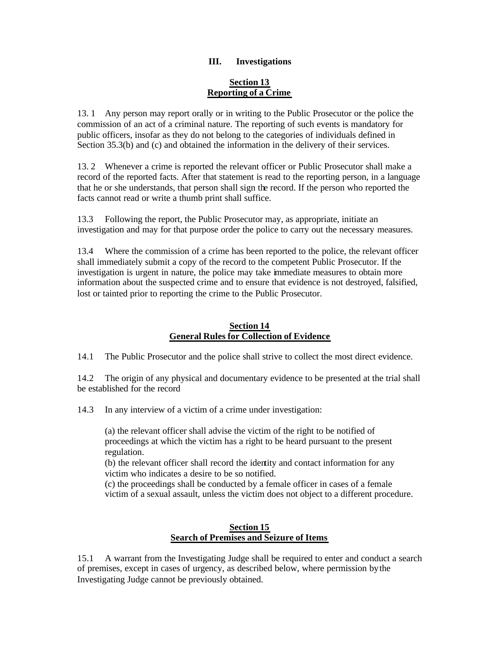### **III. Investigations**

#### **Section 13 Reporting of a Crime**

13. 1 Any person may report orally or in writing to the Public Prosecutor or the police the commission of an act of a criminal nature. The reporting of such events is mandatory for public officers, insofar as they do not belong to the categories of individuals defined in Section 35.3(b) and (c) and obtained the information in the delivery of their services.

13. 2 Whenever a crime is reported the relevant officer or Public Prosecutor shall make a record of the reported facts. After that statement is read to the reporting person, in a language that he or she understands, that person shall sign the record. If the person who reported the facts cannot read or write a thumb print shall suffice.

13.3 Following the report, the Public Prosecutor may, as appropriate, initiate an investigation and may for that purpose order the police to carry out the necessary measures.

13.4 Where the commission of a crime has been reported to the police, the relevant officer shall immediately submit a copy of the record to the competent Public Prosecutor. If the investigation is urgent in nature, the police may take immediate measures to obtain more information about the suspected crime and to ensure that evidence is not destroyed, falsified, lost or tainted prior to reporting the crime to the Public Prosecutor.

#### **Section 14 General Rules for Collection of Evidence**

14.1 The Public Prosecutor and the police shall strive to collect the most direct evidence.

14.2 The origin of any physical and documentary evidence to be presented at the trial shall be established for the record

14.3 In any interview of a victim of a crime under investigation:

(a) the relevant officer shall advise the victim of the right to be notified of proceedings at which the victim has a right to be heard pursuant to the present regulation.

(b) the relevant officer shall record the identity and contact information for any victim who indicates a desire to be so notified.

(c) the proceedings shall be conducted by a female officer in cases of a female victim of a sexual assault, unless the victim does not object to a different procedure.

#### **Section 15 Search of Premises and Seizure of Items**

15.1 A warrant from the Investigating Judge shall be required to enter and conduct a search of premises, except in cases of urgency, as described below, where permission by the Investigating Judge cannot be previously obtained.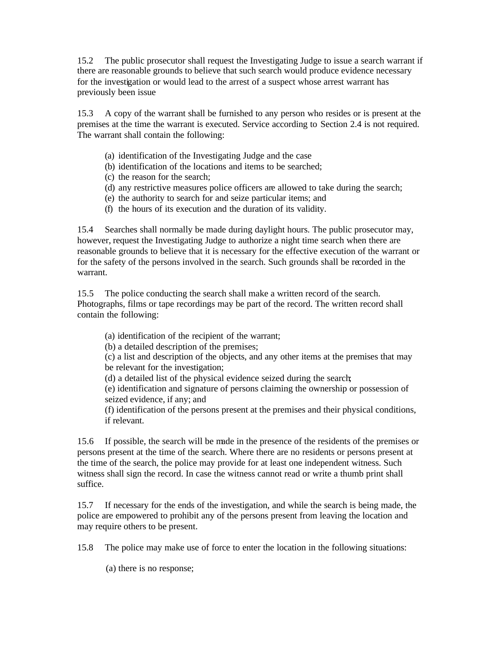15.2 The public prosecutor shall request the Investigating Judge to issue a search warrant if there are reasonable grounds to believe that such search would produce evidence necessary for the investigation or would lead to the arrest of a suspect whose arrest warrant has previously been issue

15.3 A copy of the warrant shall be furnished to any person who resides or is present at the premises at the time the warrant is executed. Service according to Section 2.4 is not required. The warrant shall contain the following:

- (a) identification of the Investigating Judge and the case
- (b) identification of the locations and items to be searched;
- (c) the reason for the search;
- (d) any restrictive measures police officers are allowed to take during the search;
- (e) the authority to search for and seize particular items; and
- (f) the hours of its execution and the duration of its validity.

15.4 Searches shall normally be made during daylight hours. The public prosecutor may, however, request the Investigating Judge to authorize a night time search when there are reasonable grounds to believe that it is necessary for the effective execution of the warrant or for the safety of the persons involved in the search. Such grounds shall be recorded in the warrant.

15.5 The police conducting the search shall make a written record of the search. Photographs, films or tape recordings may be part of the record. The written record shall contain the following:

(a) identification of the recipient of the warrant;

(b) a detailed description of the premises;

(c) a list and description of the objects, and any other items at the premises that may be relevant for the investigation;

(d) a detailed list of the physical evidence seized during the search;

(e) identification and signature of persons claiming the ownership or possession of seized evidence, if any; and

(f) identification of the persons present at the premises and their physical conditions, if relevant.

15.6 If possible, the search will be made in the presence of the residents of the premises or persons present at the time of the search. Where there are no residents or persons present at the time of the search, the police may provide for at least one independent witness. Such witness shall sign the record. In case the witness cannot read or write a thumb print shall suffice.

15.7 If necessary for the ends of the investigation, and while the search is being made, the police are empowered to prohibit any of the persons present from leaving the location and may require others to be present.

15.8 The police may make use of force to enter the location in the following situations:

(a) there is no response;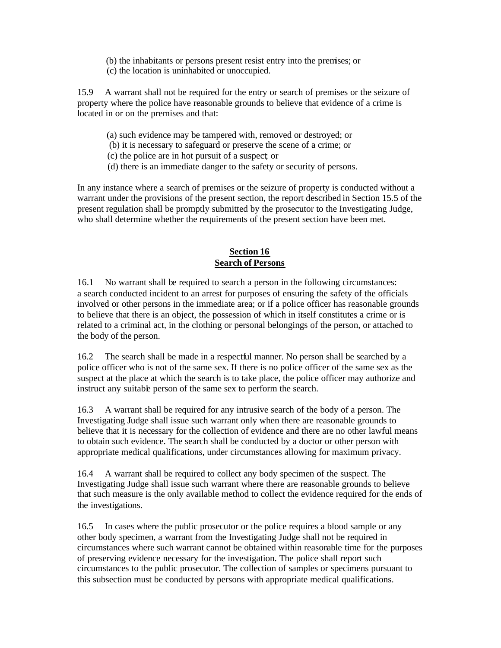(b) the inhabitants or persons present resist entry into the premises; or (c) the location is uninhabited or unoccupied.

15.9 A warrant shall not be required for the entry or search of premises or the seizure of property where the police have reasonable grounds to believe that evidence of a crime is located in or on the premises and that:

- (a) such evidence may be tampered with, removed or destroyed; or
- (b) it is necessary to safeguard or preserve the scene of a crime; or
- (c) the police are in hot pursuit of a suspect; or
- (d) there is an immediate danger to the safety or security of persons.

In any instance where a search of premises or the seizure of property is conducted without a warrant under the provisions of the present section, the report described in Section 15.5 of the present regulation shall be promptly submitted by the prosecutor to the Investigating Judge, who shall determine whether the requirements of the present section have been met.

### **Section 16 Search of Persons**

16.1 No warrant shall be required to search a person in the following circumstances: a search conducted incident to an arrest for purposes of ensuring the safety of the officials involved or other persons in the immediate area; or if a police officer has reasonable grounds to believe that there is an object, the possession of which in itself constitutes a crime or is related to a criminal act, in the clothing or personal belongings of the person, or attached to the body of the person.

16.2 The search shall be made in a respectful manner. No person shall be searched by a police officer who is not of the same sex. If there is no police officer of the same sex as the suspect at the place at which the search is to take place, the police officer may authorize and instruct any suitable person of the same sex to perform the search.

16.3 A warrant shall be required for any intrusive search of the body of a person. The Investigating Judge shall issue such warrant only when there are reasonable grounds to believe that it is necessary for the collection of evidence and there are no other lawful means to obtain such evidence. The search shall be conducted by a doctor or other person with appropriate medical qualifications, under circumstances allowing for maximum privacy.

16.4 A warrant shall be required to collect any body specimen of the suspect. The Investigating Judge shall issue such warrant where there are reasonable grounds to believe that such measure is the only available method to collect the evidence required for the ends of the investigations.

16.5 In cases where the public prosecutor or the police requires a blood sample or any other body specimen, a warrant from the Investigating Judge shall not be required in circumstances where such warrant cannot be obtained within reasonable time for the purposes of preserving evidence necessary for the investigation. The police shall report such circumstances to the public prosecutor. The collection of samples or specimens pursuant to this subsection must be conducted by persons with appropriate medical qualifications.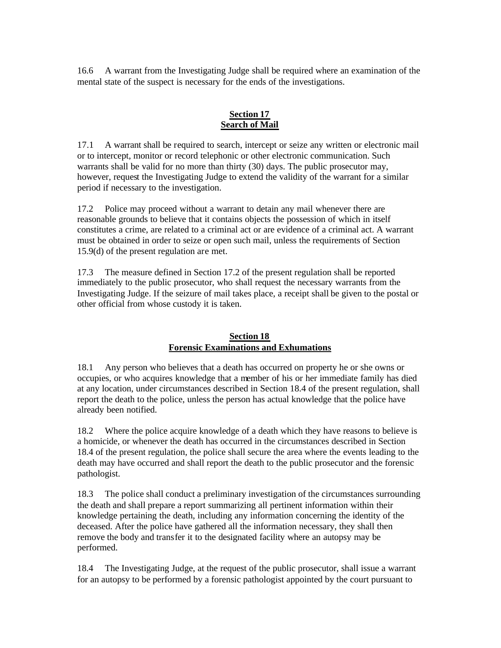16.6 A warrant from the Investigating Judge shall be required where an examination of the mental state of the suspect is necessary for the ends of the investigations.

### **Section 17 Search of Mail**

17.1 A warrant shall be required to search, intercept or seize any written or electronic mail or to intercept, monitor or record telephonic or other electronic communication. Such warrants shall be valid for no more than thirty (30) days. The public prosecutor may, however, request the Investigating Judge to extend the validity of the warrant for a similar period if necessary to the investigation.

17.2 Police may proceed without a warrant to detain any mail whenever there are reasonable grounds to believe that it contains objects the possession of which in itself constitutes a crime, are related to a criminal act or are evidence of a criminal act. A warrant must be obtained in order to seize or open such mail, unless the requirements of Section 15.9(d) of the present regulation are met.

17.3 The measure defined in Section 17.2 of the present regulation shall be reported immediately to the public prosecutor, who shall request the necessary warrants from the Investigating Judge. If the seizure of mail takes place, a receipt shall be given to the postal or other official from whose custody it is taken.

### **Section 18 Forensic Examinations and Exhumations**

18.1 Any person who believes that a death has occurred on property he or she owns or occupies, or who acquires knowledge that a member of his or her immediate family has died at any location, under circumstances described in Section 18.4 of the present regulation, shall report the death to the police, unless the person has actual knowledge that the police have already been notified.

18.2 Where the police acquire knowledge of a death which they have reasons to believe is a homicide, or whenever the death has occurred in the circumstances described in Section 18.4 of the present regulation, the police shall secure the area where the events leading to the death may have occurred and shall report the death to the public prosecutor and the forensic pathologist.

18.3 The police shall conduct a preliminary investigation of the circumstances surrounding the death and shall prepare a report summarizing all pertinent information within their knowledge pertaining the death, including any information concerning the identity of the deceased. After the police have gathered all the information necessary, they shall then remove the body and transfer it to the designated facility where an autopsy may be performed.

18.4 The Investigating Judge, at the request of the public prosecutor, shall issue a warrant for an autopsy to be performed by a forensic pathologist appointed by the court pursuant to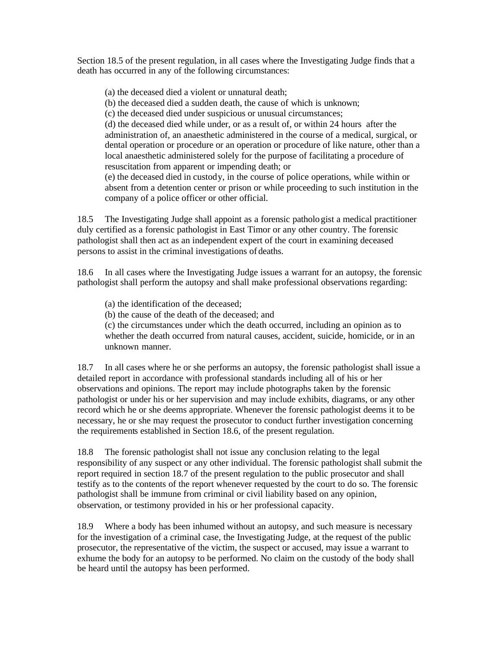Section 18.5 of the present regulation, in all cases where the Investigating Judge finds that a death has occurred in any of the following circumstances:

(a) the deceased died a violent or unnatural death;

(b) the deceased died a sudden death, the cause of which is unknown;

(c) the deceased died under suspicious or unusual circumstances;

(d) the deceased died while under, or as a result of, or within 24 hours after the administration of, an anaesthetic administered in the course of a medical, surgical, or dental operation or procedure or an operation or procedure of like nature, other than a local anaesthetic administered solely for the purpose of facilitating a procedure of resuscitation from apparent or impending death; or

(e) the deceased died in custody, in the course of police operations, while within or absent from a detention center or prison or while proceeding to such institution in the company of a police officer or other official.

18.5 The Investigating Judge shall appoint as a forensic pathologist a medical practitioner duly certified as a forensic pathologist in East Timor or any other country. The forensic pathologist shall then act as an independent expert of the court in examining deceased persons to assist in the criminal investigations of deaths.

18.6 In all cases where the Investigating Judge issues a warrant for an autopsy, the forensic pathologist shall perform the autopsy and shall make professional observations regarding:

(a) the identification of the deceased;

(b) the cause of the death of the deceased; and

(c) the circumstances under which the death occurred, including an opinion as to whether the death occurred from natural causes, accident, suicide, homicide, or in an unknown manner.

18.7 In all cases where he or she performs an autopsy, the forensic pathologist shall issue a detailed report in accordance with professional standards including all of his or her observations and opinions. The report may include photographs taken by the forensic pathologist or under his or her supervision and may include exhibits, diagrams, or any other record which he or she deems appropriate. Whenever the forensic pathologist deems it to be necessary, he or she may request the prosecutor to conduct further investigation concerning the requirements established in Section 18.6, of the present regulation.

18.8 The forensic pathologist shall not issue any conclusion relating to the legal responsibility of any suspect or any other individual. The forensic pathologist shall submit the report required in section 18.7 of the present regulation to the public prosecutor and shall testify as to the contents of the report whenever requested by the court to do so. The forensic pathologist shall be immune from criminal or civil liability based on any opinion, observation, or testimony provided in his or her professional capacity.

18.9 Where a body has been inhumed without an autopsy, and such measure is necessary for the investigation of a criminal case, the Investigating Judge, at the request of the public prosecutor, the representative of the victim, the suspect or accused, may issue a warrant to exhume the body for an autopsy to be performed. No claim on the custody of the body shall be heard until the autopsy has been performed.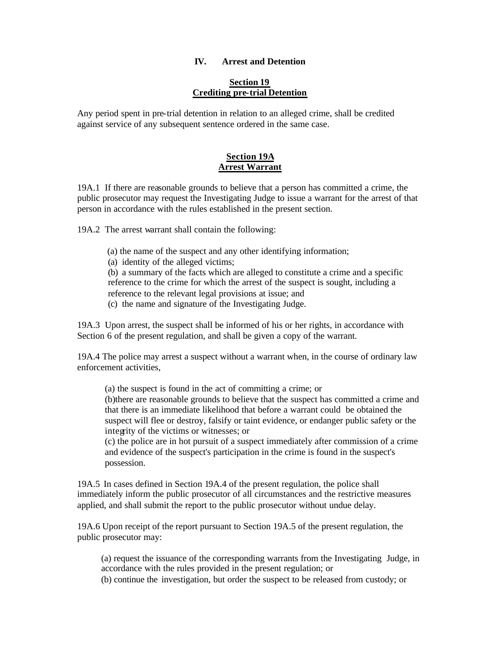#### **IV. Arrest and Detention**

#### **Section 19 Crediting pre-trial Detention**

Any period spent in pre-trial detention in relation to an alleged crime, shall be credited against service of any subsequent sentence ordered in the same case.

#### **Section 19A Arrest Warrant**

19A.1 If there are reasonable grounds to believe that a person has committed a crime, the public prosecutor may request the Investigating Judge to issue a warrant for the arrest of that person in accordance with the rules established in the present section.

19A.2 The arrest warrant shall contain the following:

- (a) the name of the suspect and any other identifying information;
- (a) identity of the alleged victims;

(b) a summary of the facts which are alleged to constitute a crime and a specific reference to the crime for which the arrest of the suspect is sought, including a reference to the relevant legal provisions at issue; and

(c) the name and signature of the Investigating Judge.

19A.3 Upon arrest, the suspect shall be informed of his or her rights, in accordance with Section 6 of the present regulation, and shall be given a copy of the warrant.

19A.4 The police may arrest a suspect without a warrant when, in the course of ordinary law enforcement activities,

(a) the suspect is found in the act of committing a crime; or

(b)there are reasonable grounds to believe that the suspect has committed a crime and that there is an immediate likelihood that before a warrant could be obtained the suspect will flee or destroy, falsify or taint evidence, or endanger public safety or the integrity of the victims or witnesses; or

(c) the police are in hot pursuit of a suspect immediately after commission of a crime and evidence of the suspect's participation in the crime is found in the suspect's possession.

19A.5 In cases defined in Section 19A.4 of the present regulation, the police shall immediately inform the public prosecutor of all circumstances and the restrictive measures applied, and shall submit the report to the public prosecutor without undue delay.

19A.6 Upon receipt of the report pursuant to Section 19A.5 of the present regulation, the public prosecutor may:

(a) request the issuance of the corresponding warrants from the Investigating Judge, in accordance with the rules provided in the present regulation; or

(b) continue the investigation, but order the suspect to be released from custody; or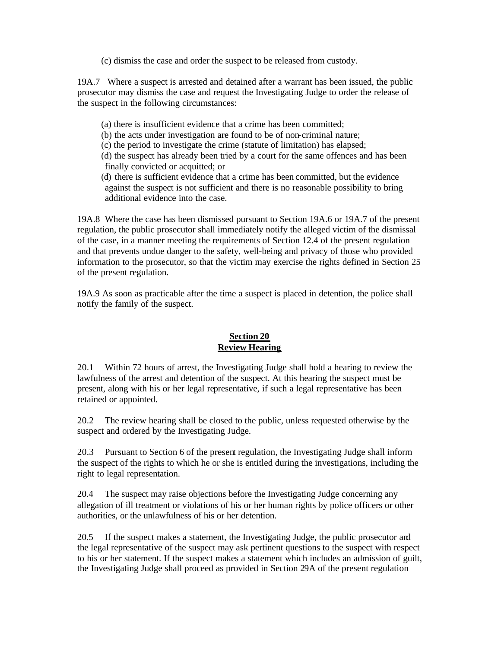(c) dismiss the case and order the suspect to be released from custody.

19A.7 Where a suspect is arrested and detained after a warrant has been issued, the public prosecutor may dismiss the case and request the Investigating Judge to order the release of the suspect in the following circumstances:

- (a) there is insufficient evidence that a crime has been committed;
- (b) the acts under investigation are found to be of non-criminal nature;
- (c) the period to investigate the crime (statute of limitation) has elapsed;
- (d) the suspect has already been tried by a court for the same offences and has been finally convicted or acquitted; or
- (d) there is sufficient evidence that a crime has been committed, but the evidence against the suspect is not sufficient and there is no reasonable possibility to bring additional evidence into the case.

19A.8 Where the case has been dismissed pursuant to Section 19A.6 or 19A.7 of the present regulation, the public prosecutor shall immediately notify the alleged victim of the dismissal of the case, in a manner meeting the requirements of Section 12.4 of the present regulation and that prevents undue danger to the safety, well-being and privacy of those who provided information to the prosecutor, so that the victim may exercise the rights defined in Section 25 of the present regulation.

19A.9 As soon as practicable after the time a suspect is placed in detention, the police shall notify the family of the suspect.

### **Section 20 Review Hearing**

20.1 Within 72 hours of arrest, the Investigating Judge shall hold a hearing to review the lawfulness of the arrest and detention of the suspect. At this hearing the suspect must be present, along with his or her legal representative, if such a legal representative has been retained or appointed.

20.2 The review hearing shall be closed to the public, unless requested otherwise by the suspect and ordered by the Investigating Judge.

20.3 Pursuant to Section 6 of the present regulation, the Investigating Judge shall inform the suspect of the rights to which he or she is entitled during the investigations, including the right to legal representation.

20.4 The suspect may raise objections before the Investigating Judge concerning any allegation of ill treatment or violations of his or her human rights by police officers or other authorities, or the unlawfulness of his or her detention.

20.5 If the suspect makes a statement, the Investigating Judge, the public prosecutor and the legal representative of the suspect may ask pertinent questions to the suspect with respect to his or her statement. If the suspect makes a statement which includes an admission of guilt, the Investigating Judge shall proceed as provided in Section 29A of the present regulation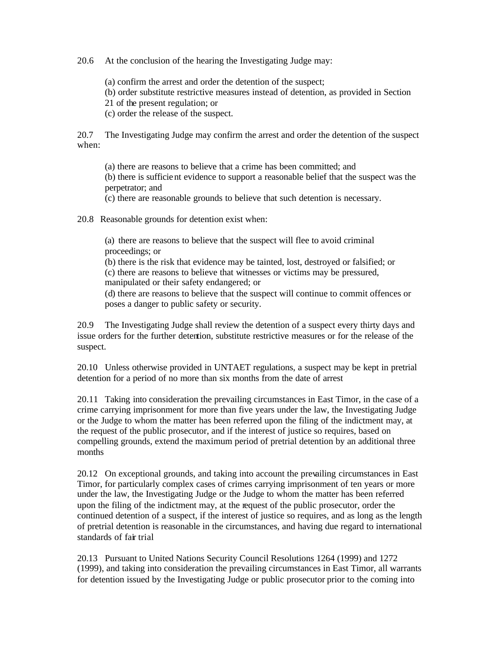20.6 At the conclusion of the hearing the Investigating Judge may:

(a) confirm the arrest and order the detention of the suspect;

(b) order substitute restrictive measures instead of detention, as provided in Section

21 of the present regulation; or

(c) order the release of the suspect.

20.7 The Investigating Judge may confirm the arrest and order the detention of the suspect when:

(a) there are reasons to believe that a crime has been committed; and

(b) there is sufficient evidence to support a reasonable belief that the suspect was the perpetrator; and

(c) there are reasonable grounds to believe that such detention is necessary.

20.8 Reasonable grounds for detention exist when:

(a) there are reasons to believe that the suspect will flee to avoid criminal proceedings; or

(b) there is the risk that evidence may be tainted, lost, destroyed or falsified; or (c) there are reasons to believe that witnesses or victims may be pressured, manipulated or their safety endangered; or

(d) there are reasons to believe that the suspect will continue to commit offences or poses a danger to public safety or security.

20.9 The Investigating Judge shall review the detention of a suspect every thirty days and issue orders for the further detention, substitute restrictive measures or for the release of the suspect.

20.10 Unless otherwise provided in UNTAET regulations, a suspect may be kept in pretrial detention for a period of no more than six months from the date of arrest

20.11 Taking into consideration the prevailing circumstances in East Timor, in the case of a crime carrying imprisonment for more than five years under the law, the Investigating Judge or the Judge to whom the matter has been referred upon the filing of the indictment may, at the request of the public prosecutor, and if the interest of justice so requires, based on compelling grounds, extend the maximum period of pretrial detention by an additional three months

20.12 On exceptional grounds, and taking into account the prevailing circumstances in East Timor, for particularly complex cases of crimes carrying imprisonment of ten years or more under the law, the Investigating Judge or the Judge to whom the matter has been referred upon the filing of the indictment may, at the request of the public prosecutor, order the continued detention of a suspect, if the interest of justice so requires, and as long as the length of pretrial detention is reasonable in the circumstances, and having due regard to international standards of fair trial

20.13 Pursuant to United Nations Security Council Resolutions 1264 (1999) and 1272 (1999), and taking into consideration the prevailing circumstances in East Timor, all warrants for detention issued by the Investigating Judge or public prosecutor prior to the coming into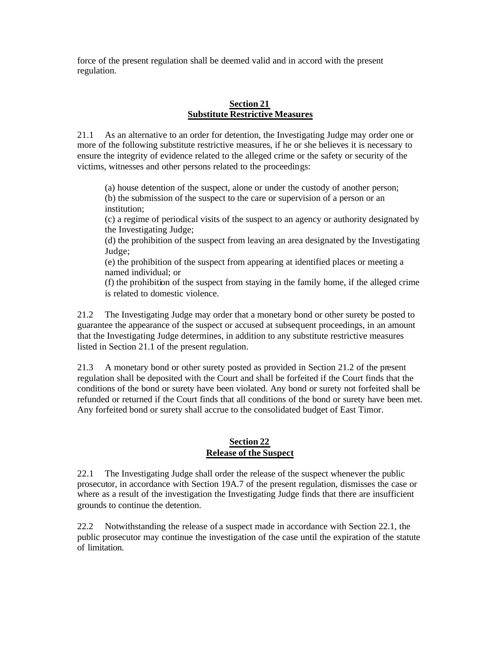force of the present regulation shall be deemed valid and in accord with the present regulation.

#### **Section 21 Substitute Restrictive Measures**

21.1 As an alternative to an order for detention, the Investigating Judge may order one or more of the following substitute restrictive measures, if he or she believes it is necessary to ensure the integrity of evidence related to the alleged crime or the safety or security of the victims, witnesses and other persons related to the proceedings:

(a) house detention of the suspect, alone or under the custody of another person; (b) the submission of the suspect to the care or supervision of a person or an institution;

(c) a regime of periodical visits of the suspect to an agency or authority designated by the Investigating Judge;

(d) the prohibition of the suspect from leaving an area designated by the Investigating Judge;

(e) the prohibition of the suspect from appearing at identified places or meeting a named individual; or

(f) the prohibition of the suspect from staying in the family home, if the alleged crime is related to domestic violence.

21.2 The Investigating Judge may order that a monetary bond or other surety be posted to guarantee the appearance of the suspect or accused at subsequent proceedings, in an amount that the Investigating Judge determines, in addition to any substitute restrictive measures listed in Section 21.1 of the present regulation.

21.3 A monetary bond or other surety posted as provided in Section 21.2 of the present regulation shall be deposited with the Court and shall be forfeited if the Court finds that the conditions of the bond or surety have been violated. Any bond or surety not forfeited shall be refunded or returned if the Court finds that all conditions of the bond or surety have been met. Any forfeited bond or surety shall accrue to the consolidated budget of East Timor.

### **Section 22 Release of the Suspect**

22.1 The Investigating Judge shall order the release of the suspect whenever the public prosecutor, in accordance with Section 19A.7 of the present regulation, dismisses the case or where as a result of the investigation the Investigating Judge finds that there are insufficient grounds to continue the detention.

22.2 Notwithstanding the release of a suspect made in accordance with Section 22.1, the public prosecutor may continue the investigation of the case until the expiration of the statute of limitation.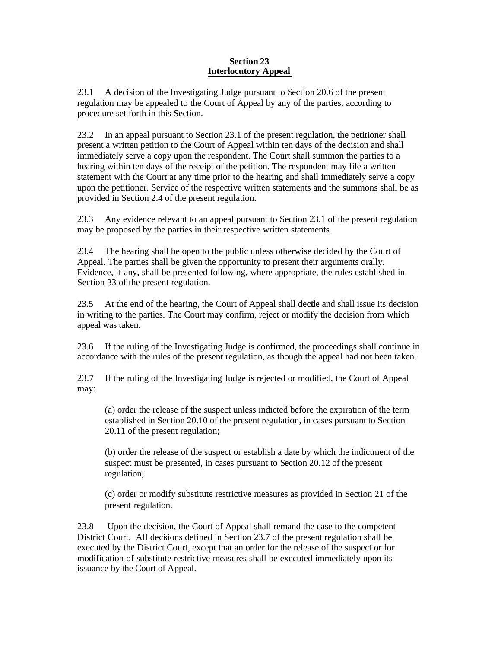#### **Section 23 Interlocutory Appeal**

23.1 A decision of the Investigating Judge pursuant to Section 20.6 of the present regulation may be appealed to the Court of Appeal by any of the parties, according to procedure set forth in this Section.

23.2 In an appeal pursuant to Section 23.1 of the present regulation, the petitioner shall present a written petition to the Court of Appeal within ten days of the decision and shall immediately serve a copy upon the respondent. The Court shall summon the parties to a hearing within ten days of the receipt of the petition. The respondent may file a written statement with the Court at any time prior to the hearing and shall immediately serve a copy upon the petitioner. Service of the respective written statements and the summons shall be as provided in Section 2.4 of the present regulation.

23.3 Any evidence relevant to an appeal pursuant to Section 23.1 of the present regulation may be proposed by the parties in their respective written statements

23.4 The hearing shall be open to the public unless otherwise decided by the Court of Appeal. The parties shall be given the opportunity to present their arguments orally. Evidence, if any, shall be presented following, where appropriate, the rules established in Section 33 of the present regulation.

23.5 At the end of the hearing, the Court of Appeal shall decide and shall issue its decision in writing to the parties. The Court may confirm, reject or modify the decision from which appeal was taken.

23.6 If the ruling of the Investigating Judge is confirmed, the proceedings shall continue in accordance with the rules of the present regulation, as though the appeal had not been taken.

23.7 If the ruling of the Investigating Judge is rejected or modified, the Court of Appeal may:

(a) order the release of the suspect unless indicted before the expiration of the term established in Section 20.10 of the present regulation, in cases pursuant to Section 20.11 of the present regulation;

(b) order the release of the suspect or establish a date by which the indictment of the suspect must be presented, in cases pursuant to Section 20.12 of the present regulation;

(c) order or modify substitute restrictive measures as provided in Section 21 of the present regulation.

23.8 Upon the decision, the Court of Appeal shall remand the case to the competent District Court. All decisions defined in Section 23.7 of the present regulation shall be executed by the District Court, except that an order for the release of the suspect or for modification of substitute restrictive measures shall be executed immediately upon its issuance by the Court of Appeal.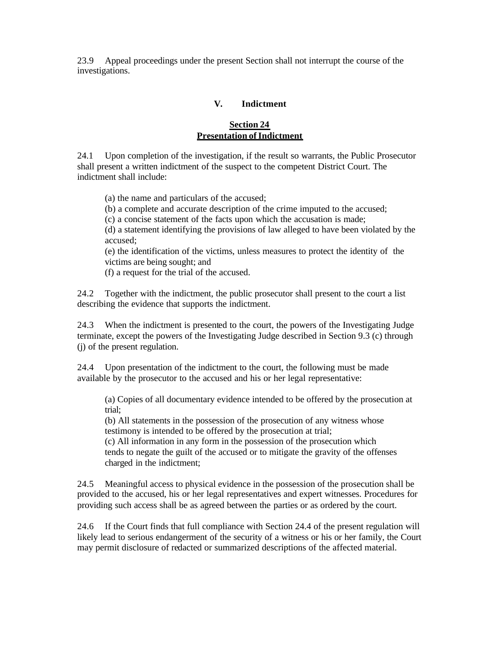23.9 Appeal proceedings under the present Section shall not interrupt the course of the investigations.

#### **V. Indictment**

### **Section 24 Presentation of Indictment**

24.1 Upon completion of the investigation, if the result so warrants, the Public Prosecutor shall present a written indictment of the suspect to the competent District Court. The indictment shall include:

(a) the name and particulars of the accused;

(b) a complete and accurate description of the crime imputed to the accused;

(c) a concise statement of the facts upon which the accusation is made;

(d) a statement identifying the provisions of law alleged to have been violated by the accused;

(e) the identification of the victims, unless measures to protect the identity of the victims are being sought; and

(f) a request for the trial of the accused.

24.2 Together with the indictment, the public prosecutor shall present to the court a list describing the evidence that supports the indictment.

24.3 When the indictment is presented to the court, the powers of the Investigating Judge terminate, except the powers of the Investigating Judge described in Section 9.3 (c) through (j) of the present regulation.

24.4 Upon presentation of the indictment to the court, the following must be made available by the prosecutor to the accused and his or her legal representative:

(a) Copies of all documentary evidence intended to be offered by the prosecution at trial;

(b) All statements in the possession of the prosecution of any witness whose testimony is intended to be offered by the prosecution at trial;

(c) All information in any form in the possession of the prosecution which tends to negate the guilt of the accused or to mitigate the gravity of the offenses charged in the indictment;

24.5 Meaningful access to physical evidence in the possession of the prosecution shall be provided to the accused, his or her legal representatives and expert witnesses. Procedures for providing such access shall be as agreed between the parties or as ordered by the court.

24.6 If the Court finds that full compliance with Section 24.4 of the present regulation will likely lead to serious endangerment of the security of a witness or his or her family, the Court may permit disclosure of redacted or summarized descriptions of the affected material.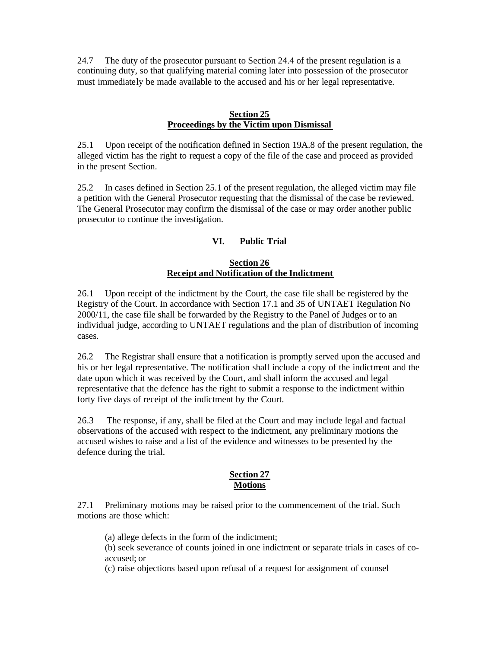24.7 The duty of the prosecutor pursuant to Section 24.4 of the present regulation is a continuing duty, so that qualifying material coming later into possession of the prosecutor must immediately be made available to the accused and his or her legal representative.

#### **Section 25 Proceedings by the Victim upon Dismissal**

25.1 Upon receipt of the notification defined in Section 19A.8 of the present regulation, the alleged victim has the right to request a copy of the file of the case and proceed as provided in the present Section.

25.2 In cases defined in Section 25.1 of the present regulation, the alleged victim may file a petition with the General Prosecutor requesting that the dismissal of the case be reviewed. The General Prosecutor may confirm the dismissal of the case or may order another public prosecutor to continue the investigation.

### **VI. Public Trial**

#### **Section 26 Receipt and Notification of the Indictment**

26.1 Upon receipt of the indictment by the Court, the case file shall be registered by the Registry of the Court. In accordance with Section 17.1 and 35 of UNTAET Regulation No 2000/11, the case file shall be forwarded by the Registry to the Panel of Judges or to an individual judge, according to UNTAET regulations and the plan of distribution of incoming cases.

26.2 The Registrar shall ensure that a notification is promptly served upon the accused and his or her legal representative. The notification shall include a copy of the indictment and the date upon which it was received by the Court, and shall inform the accused and legal representative that the defence has the right to submit a response to the indictment within forty five days of receipt of the indictment by the Court.

26.3 The response, if any, shall be filed at the Court and may include legal and factual observations of the accused with respect to the indictment, any preliminary motions the accused wishes to raise and a list of the evidence and witnesses to be presented by the defence during the trial.

#### **Section 27 Motions**

27.1 Preliminary motions may be raised prior to the commencement of the trial. Such motions are those which:

(a) allege defects in the form of the indictment;

(b) seek severance of counts joined in one indictment or separate trials in cases of coaccused; or

(c) raise objections based upon refusal of a request for assignment of counsel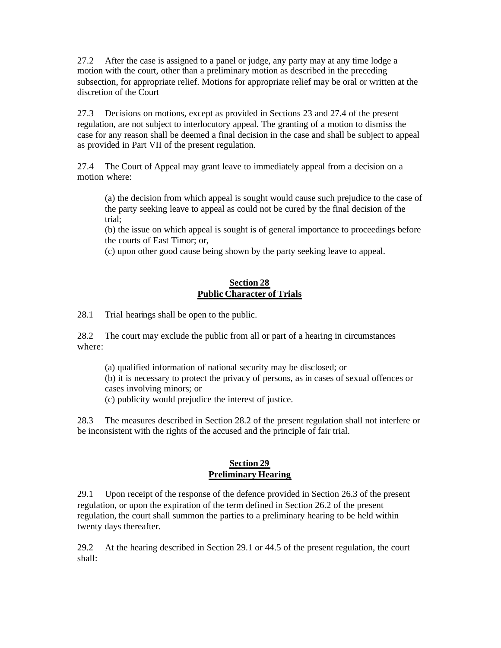27.2 After the case is assigned to a panel or judge, any party may at any time lodge a motion with the court, other than a preliminary motion as described in the preceding subsection, for appropriate relief. Motions for appropriate relief may be oral or written at the discretion of the Court

27.3 Decisions on motions, except as provided in Sections 23 and 27.4 of the present regulation, are not subject to interlocutory appeal. The granting of a motion to dismiss the case for any reason shall be deemed a final decision in the case and shall be subject to appeal as provided in Part VII of the present regulation.

27.4 The Court of Appeal may grant leave to immediately appeal from a decision on a motion where:

(a) the decision from which appeal is sought would cause such prejudice to the case of the party seeking leave to appeal as could not be cured by the final decision of the trial;

(b) the issue on which appeal is sought is of general importance to proceedings before the courts of East Timor; or,

(c) upon other good cause being shown by the party seeking leave to appeal.

### **Section 28 Public Character of Trials**

28.1 Trial hearings shall be open to the public.

28.2 The court may exclude the public from all or part of a hearing in circumstances where:

(a) qualified information of national security may be disclosed; or (b) it is necessary to protect the privacy of persons, as in cases of sexual offences or cases involving minors; or

(c) publicity would prejudice the interest of justice.

28.3 The measures described in Section 28.2 of the present regulation shall not interfere or be inconsistent with the rights of the accused and the principle of fair trial.

### **Section 29 Preliminary Hearing**

29.1 Upon receipt of the response of the defence provided in Section 26.3 of the present regulation, or upon the expiration of the term defined in Section 26.2 of the present regulation, the court shall summon the parties to a preliminary hearing to be held within twenty days thereafter.

29.2 At the hearing described in Section 29.1 or 44.5 of the present regulation, the court shall: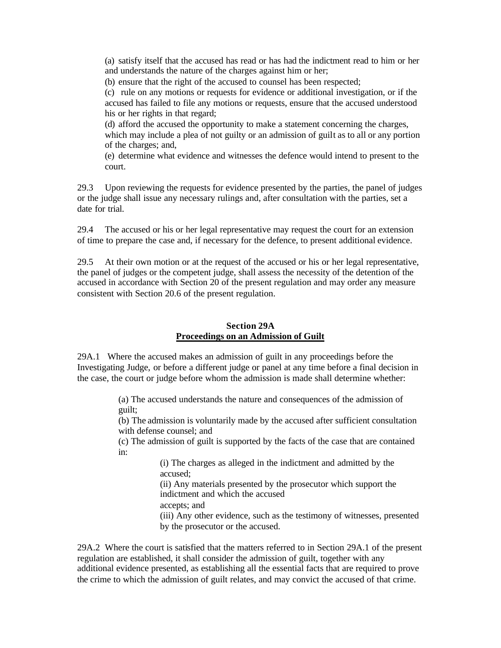(a) satisfy itself that the accused has read or has had the indictment read to him or her and understands the nature of the charges against him or her;

(b) ensure that the right of the accused to counsel has been respected;

(c) rule on any motions or requests for evidence or additional investigation, or if the accused has failed to file any motions or requests, ensure that the accused understood his or her rights in that regard;

(d) afford the accused the opportunity to make a statement concerning the charges, which may include a plea of not guilty or an admission of guilt as to all or any portion of the charges; and,

(e) determine what evidence and witnesses the defence would intend to present to the court.

29.3 Upon reviewing the requests for evidence presented by the parties, the panel of judges or the judge shall issue any necessary rulings and, after consultation with the parties, set a date for trial.

29.4 The accused or his or her legal representative may request the court for an extension of time to prepare the case and, if necessary for the defence, to present additional evidence.

29.5 At their own motion or at the request of the accused or his or her legal representative, the panel of judges or the competent judge, shall assess the necessity of the detention of the accused in accordance with Section 20 of the present regulation and may order any measure consistent with Section 20.6 of the present regulation.

#### **Section 29A Proceedings on an Admission of Guilt**

29A.1 Where the accused makes an admission of guilt in any proceedings before the Investigating Judge, or before a different judge or panel at any time before a final decision in the case, the court or judge before whom the admission is made shall determine whether:

> (a) The accused understands the nature and consequences of the admission of guilt;

(b) The admission is voluntarily made by the accused after sufficient consultation with defense counsel; and

(c) The admission of guilt is supported by the facts of the case that are contained in:

> (i) The charges as alleged in the indictment and admitted by the accused;

> (ii) Any materials presented by the prosecutor which support the indictment and which the accused

accepts; and

(iii) Any other evidence, such as the testimony of witnesses, presented by the prosecutor or the accused.

29A.2 Where the court is satisfied that the matters referred to in Section 29A.1 of the present regulation are established, it shall consider the admission of guilt, together with any additional evidence presented, as establishing all the essential facts that are required to prove the crime to which the admission of guilt relates, and may convict the accused of that crime.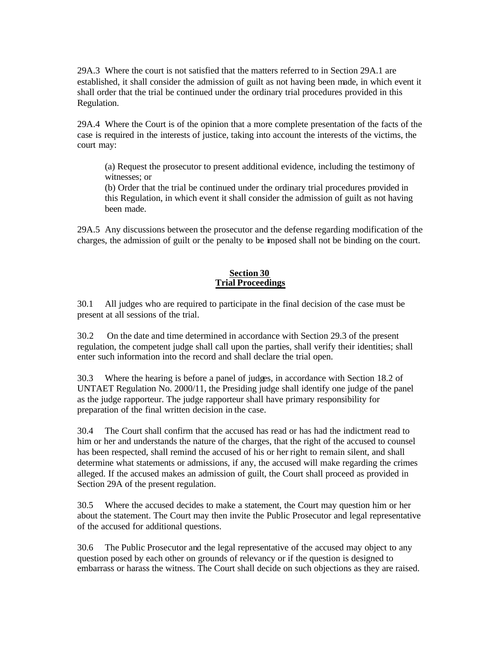29A.3 Where the court is not satisfied that the matters referred to in Section 29A.1 are established, it shall consider the admission of guilt as not having been made, in which event it shall order that the trial be continued under the ordinary trial procedures provided in this Regulation.

29A.4 Where the Court is of the opinion that a more complete presentation of the facts of the case is required in the interests of justice, taking into account the interests of the victims, the court may:

(a) Request the prosecutor to present additional evidence, including the testimony of witnesses; or

(b) Order that the trial be continued under the ordinary trial procedures provided in this Regulation, in which event it shall consider the admission of guilt as not having been made.

29A.5 Any discussions between the prosecutor and the defense regarding modification of the charges, the admission of guilt or the penalty to be imposed shall not be binding on the court.

### **Section 30 Trial Proceedings**

30.1 All judges who are required to participate in the final decision of the case must be present at all sessions of the trial.

30.2 On the date and time determined in accordance with Section 29.3 of the present regulation, the competent judge shall call upon the parties, shall verify their identities; shall enter such information into the record and shall declare the trial open.

30.3 Where the hearing is before a panel of judges, in accordance with Section 18.2 of UNTAET Regulation No. 2000/11, the Presiding judge shall identify one judge of the panel as the judge rapporteur. The judge rapporteur shall have primary responsibility for preparation of the final written decision in the case.

30.4 The Court shall confirm that the accused has read or has had the indictment read to him or her and understands the nature of the charges, that the right of the accused to counsel has been respected, shall remind the accused of his or her right to remain silent, and shall determine what statements or admissions, if any, the accused will make regarding the crimes alleged. If the accused makes an admission of guilt, the Court shall proceed as provided in Section 29A of the present regulation.

30.5 Where the accused decides to make a statement, the Court may question him or her about the statement. The Court may then invite the Public Prosecutor and legal representative of the accused for additional questions.

30.6 The Public Prosecutor and the legal representative of the accused may object to any question posed by each other on grounds of relevancy or if the question is designed to embarrass or harass the witness. The Court shall decide on such objections as they are raised.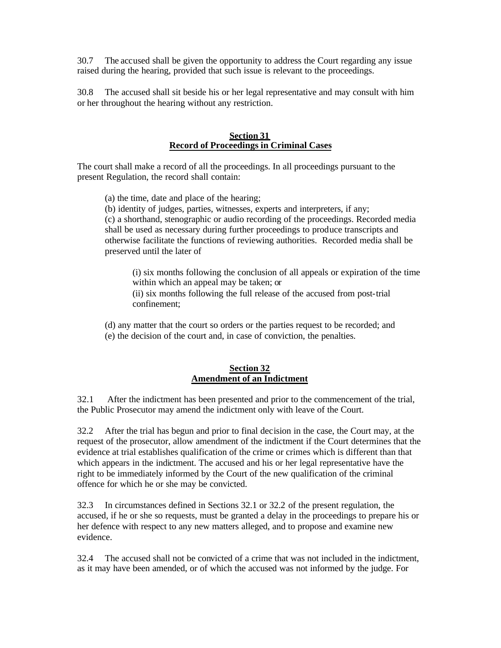30.7 The accused shall be given the opportunity to address the Court regarding any issue raised during the hearing, provided that such issue is relevant to the proceedings.

30.8 The accused shall sit beside his or her legal representative and may consult with him or her throughout the hearing without any restriction.

#### **Section 31 Record of Proceedings in Criminal Cases**

The court shall make a record of all the proceedings. In all proceedings pursuant to the present Regulation, the record shall contain:

(a) the time, date and place of the hearing;

(b) identity of judges, parties, witnesses, experts and interpreters, if any;

(c) a shorthand, stenographic or audio recording of the proceedings. Recorded media shall be used as necessary during further proceedings to produce transcripts and otherwise facilitate the functions of reviewing authorities. Recorded media shall be preserved until the later of

(i) six months following the conclusion of all appeals or expiration of the time within which an appeal may be taken; or

(ii) six months following the full release of the accused from post-trial confinement;

- (d) any matter that the court so orders or the parties request to be recorded; and
- (e) the decision of the court and, in case of conviction, the penalties.

#### **Section 32 Amendment of an Indictment**

32.1 After the indictment has been presented and prior to the commencement of the trial, the Public Prosecutor may amend the indictment only with leave of the Court.

32.2 After the trial has begun and prior to final decision in the case, the Court may, at the request of the prosecutor, allow amendment of the indictment if the Court determines that the evidence at trial establishes qualification of the crime or crimes which is different than that which appears in the indictment. The accused and his or her legal representative have the right to be immediately informed by the Court of the new qualification of the criminal offence for which he or she may be convicted.

32.3 In circumstances defined in Sections 32.1 or 32.2 of the present regulation, the accused, if he or she so requests, must be granted a delay in the proceedings to prepare his or her defence with respect to any new matters alleged, and to propose and examine new evidence.

32.4 The accused shall not be convicted of a crime that was not included in the indictment, as it may have been amended, or of which the accused was not informed by the judge. For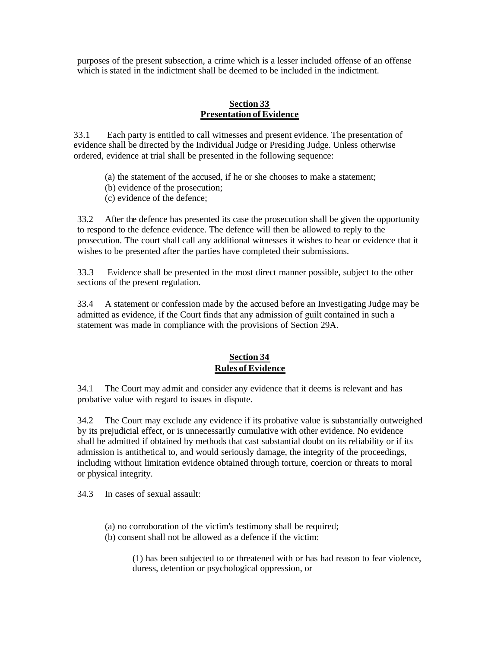purposes of the present subsection, a crime which is a lesser included offense of an offense which is stated in the indictment shall be deemed to be included in the indictment.

#### **Section 33 Presentation of Evidence**

33.1 Each party is entitled to call witnesses and present evidence. The presentation of evidence shall be directed by the Individual Judge or Presiding Judge. Unless otherwise ordered, evidence at trial shall be presented in the following sequence:

- (a) the statement of the accused, if he or she chooses to make a statement;
- (b) evidence of the prosecution;
- (c) evidence of the defence;

33.2 After the defence has presented its case the prosecution shall be given the opportunity to respond to the defence evidence. The defence will then be allowed to reply to the prosecution. The court shall call any additional witnesses it wishes to hear or evidence that it wishes to be presented after the parties have completed their submissions.

33.3 Evidence shall be presented in the most direct manner possible, subject to the other sections of the present regulation.

33.4 A statement or confession made by the accused before an Investigating Judge may be admitted as evidence, if the Court finds that any admission of guilt contained in such a statement was made in compliance with the provisions of Section 29A.

### **Section 34 Rules of Evidence**

34.1 The Court may admit and consider any evidence that it deems is relevant and has probative value with regard to issues in dispute.

34.2 The Court may exclude any evidence if its probative value is substantially outweighed by its prejudicial effect, or is unnecessarily cumulative with other evidence. No evidence shall be admitted if obtained by methods that cast substantial doubt on its reliability or if its admission is antithetical to, and would seriously damage, the integrity of the proceedings, including without limitation evidence obtained through torture, coercion or threats to moral or physical integrity.

34.3 In cases of sexual assault:

- (a) no corroboration of the victim's testimony shall be required;
- (b) consent shall not be allowed as a defence if the victim:

(1) has been subjected to or threatened with or has had reason to fear violence, duress, detention or psychological oppression, or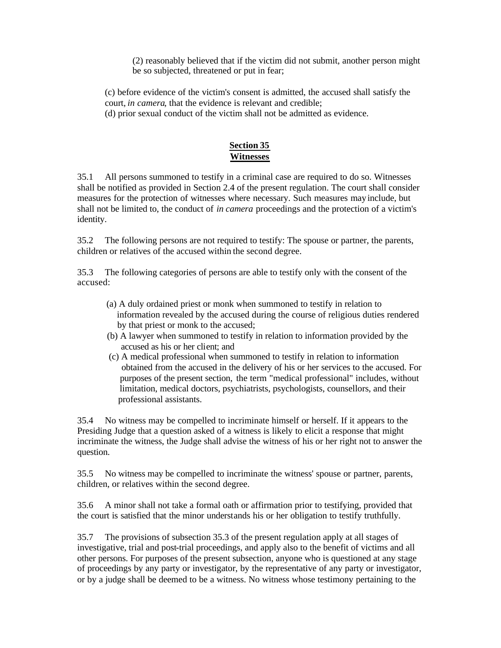(2) reasonably believed that if the victim did not submit, another person might be so subjected, threatened or put in fear;

(c) before evidence of the victim's consent is admitted, the accused shall satisfy the court, *in camera*, that the evidence is relevant and credible;

(d) prior sexual conduct of the victim shall not be admitted as evidence.

## **Section 35 Witnesses**

35.1 All persons summoned to testify in a criminal case are required to do so. Witnesses shall be notified as provided in Section 2.4 of the present regulation. The court shall consider measures for the protection of witnesses where necessary. Such measures may include, but shall not be limited to, the conduct of *in camera* proceedings and the protection of a victim's identity.

35.2 The following persons are not required to testify: The spouse or partner, the parents, children or relatives of the accused within the second degree.

35.3 The following categories of persons are able to testify only with the consent of the accused:

- (a) A duly ordained priest or monk when summoned to testify in relation to information revealed by the accused during the course of religious duties rendered by that priest or monk to the accused;
- (b) A lawyer when summoned to testify in relation to information provided by the accused as his or her client; and
- (c) A medical professional when summoned to testify in relation to information obtained from the accused in the delivery of his or her services to the accused. For purposes of the present section, the term "medical professional" includes, without limitation, medical doctors, psychiatrists, psychologists, counsellors, and their professional assistants.

35.4 No witness may be compelled to incriminate himself or herself. If it appears to the Presiding Judge that a question asked of a witness is likely to elicit a response that might incriminate the witness, the Judge shall advise the witness of his or her right not to answer the question.

35.5 No witness may be compelled to incriminate the witness' spouse or partner, parents, children, or relatives within the second degree.

35.6 A minor shall not take a formal oath or affirmation prior to testifying, provided that the court is satisfied that the minor understands his or her obligation to testify truthfully.

35.7 The provisions of subsection 35.3 of the present regulation apply at all stages of investigative, trial and post-trial proceedings, and apply also to the benefit of victims and all other persons. For purposes of the present subsection, anyone who is questioned at any stage of proceedings by any party or investigator, by the representative of any party or investigator, or by a judge shall be deemed to be a witness. No witness whose testimony pertaining to the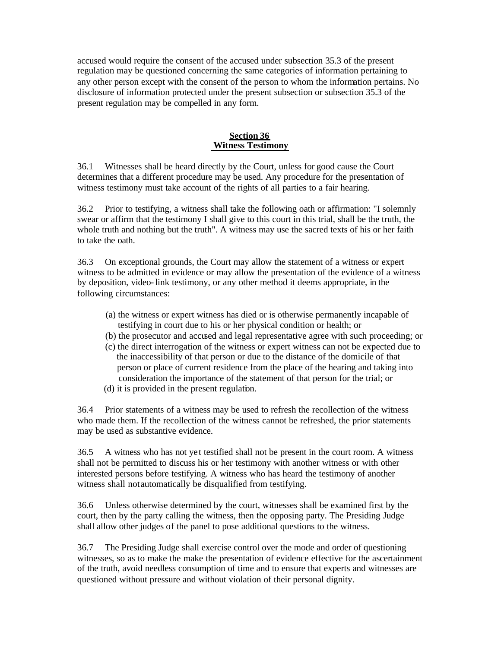accused would require the consent of the accused under subsection 35.3 of the present regulation may be questioned concerning the same categories of information pertaining to any other person except with the consent of the person to whom the information pertains. No disclosure of information protected under the present subsection or subsection 35.3 of the present regulation may be compelled in any form.

#### **Section 36 Witness Testimony**

36.1 Witnesses shall be heard directly by the Court, unless for good cause the Court determines that a different procedure may be used. Any procedure for the presentation of witness testimony must take account of the rights of all parties to a fair hearing.

36.2 Prior to testifying, a witness shall take the following oath or affirmation: "I solemnly swear or affirm that the testimony I shall give to this court in this trial, shall be the truth, the whole truth and nothing but the truth". A witness may use the sacred texts of his or her faith to take the oath.

36.3 On exceptional grounds, the Court may allow the statement of a witness or expert witness to be admitted in evidence or may allow the presentation of the evidence of a witness by deposition, video-link testimony, or any other method it deems appropriate, in the following circumstances:

- (a) the witness or expert witness has died or is otherwise permanently incapable of testifying in court due to his or her physical condition or health; or
- (b) the prosecutor and accused and legal representative agree with such proceeding; or
- (c) the direct interrogation of the witness or expert witness can not be expected due to the inaccessibility of that person or due to the distance of the domicile of that person or place of current residence from the place of the hearing and taking into consideration the importance of the statement of that person for the trial; or
- (d) it is provided in the present regulation.

36.4 Prior statements of a witness may be used to refresh the recollection of the witness who made them. If the recollection of the witness cannot be refreshed, the prior statements may be used as substantive evidence.

36.5 A witness who has not ye t testified shall not be present in the court room. A witness shall not be permitted to discuss his or her testimony with another witness or with other interested persons before testifying. A witness who has heard the testimony of another witness shall not automatically be disqualified from testifying.

36.6 Unless otherwise determined by the court, witnesses shall be examined first by the court, then by the party calling the witness, then the opposing party. The Presiding Judge shall allow other judges of the panel to pose additional questions to the witness.

36.7 The Presiding Judge shall exercise control over the mode and order of questioning witnesses, so as to make the make the presentation of evidence effective for the ascertainment of the truth, avoid needless consumption of time and to ensure that experts and witnesses are questioned without pressure and without violation of their personal dignity.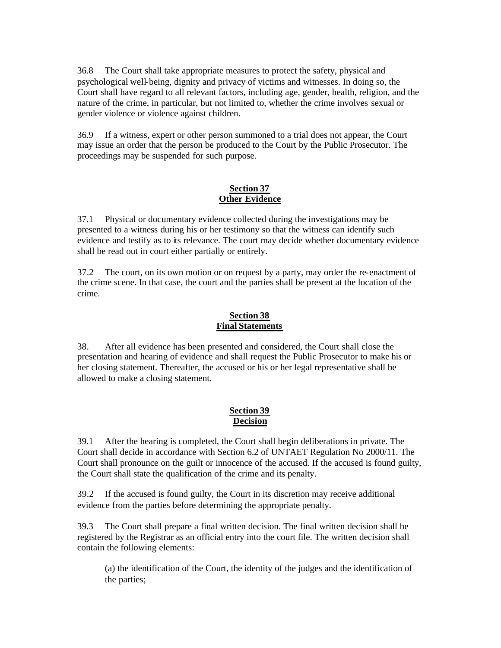36.8 The Court shall take appropriate measures to protect the safety, physical and psychological well-being, dignity and privacy of victims and witnesses. In doing so, the Court shall have regard to all relevant factors, including age, gender, health, religion, and the nature of the crime, in particular, but not limited to, whether the crime involves sexual or gender violence or violence against children.

36.9 If a witness, expert or other person summoned to a trial does not appear, the Court may issue an order that the person be produced to the Court by the Public Prosecutor. The proceedings may be suspended for such purpose.

#### **Section 37 Other Evidence**

37.1 Physical or documentary evidence collected during the investigations may be presented to a witness during his or her testimony so that the witness can identify such evidence and testify as to its relevance. The court may decide whether documentary evidence shall be read out in court either partially or entirely.

37.2 The court, on its own motion or on request by a party, may order the re-enactment of the crime scene. In that case, the court and the parties shall be present at the location of the crime.

### **Section 38 Final Statements**

38. After all evidence has been presented and considered, the Court shall close the presentation and hearing of evidence and shall request the Public Prosecutor to make his or her closing statement. Thereafter, the accused or his or her legal representative shall be allowed to make a closing statement.

### **Section 39 Decision**

39.1 After the hearing is completed, the Court shall begin deliberations in private. The Court shall decide in accordance with Section 6.2 of UNTAET Regulation No 2000/11. The Court shall pronounce on the guilt or innocence of the accused. If the accused is found guilty, the Court shall state the qualification of the crime and its penalty.

39.2 If the accused is found guilty, the Court in its discretion may receive additional evidence from the parties before determining the appropriate penalty.

39.3 The Court shall prepare a final written decision. The final written decision shall be registered by the Registrar as an official entry into the court file. The written decision shall contain the following elements:

(a) the identification of the Court, the identity of the judges and the identification of the parties;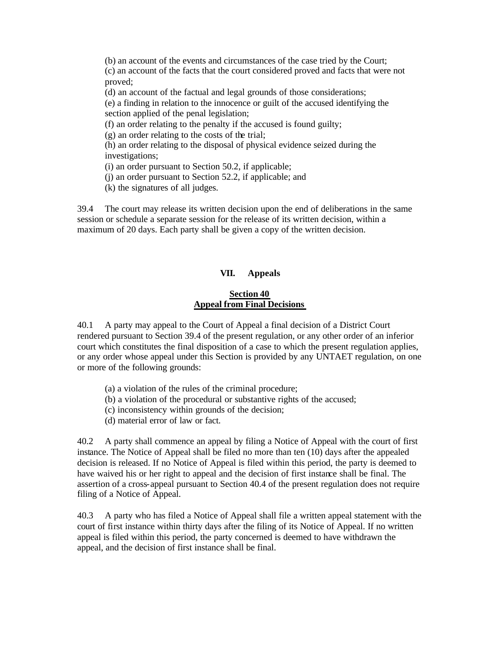(b) an account of the events and circumstances of the case tried by the Court; (c) an account of the facts that the court considered proved and facts that were not proved;

(d) an account of the factual and legal grounds of those considerations;

(e) a finding in relation to the innocence or guilt of the accused identifying the section applied of the penal legislation;

(f) an order relating to the penalty if the accused is found guilty;

(g) an order relating to the costs of the trial;

(h) an order relating to the disposal of physical evidence seized during the investigations;

(i) an order pursuant to Section 50.2, if applicable;

(j) an order pursuant to Section 52.2, if applicable; and

(k) the signatures of all judges.

39.4 The court may release its written decision upon the end of deliberations in the same session or schedule a separate session for the release of its written decision, within a maximum of 20 days. Each party shall be given a copy of the written decision.

#### **VII. Appeals**

#### **Section 40 Appeal from Final Decisions**

40.1 A party may appeal to the Court of Appeal a final decision of a District Court rendered pursuant to Section 39.4 of the present regulation, or any other order of an inferior court which constitutes the final disposition of a case to which the present regulation applies, or any order whose appeal under this Section is provided by any UNTAET regulation, on one or more of the following grounds:

- (a) a violation of the rules of the criminal procedure;
- (b) a violation of the procedural or substantive rights of the accused;
- (c) inconsistency within grounds of the decision;
- (d) material error of law or fact.

40.2 A party shall commence an appeal by filing a Notice of Appeal with the court of first instance. The Notice of Appeal shall be filed no more than ten (10) days after the appealed decision is released. If no Notice of Appeal is filed within this period, the party is deemed to have waived his or her right to appeal and the decision of first instance shall be final. The assertion of a cross-appeal pursuant to Section 40.4 of the present regulation does not require filing of a Notice of Appeal.

40.3 A party who has filed a Notice of Appeal shall file a written appeal statement with the court of first instance within thirty days after the filing of its Notice of Appeal. If no written appeal is filed within this period, the party concerned is deemed to have withdrawn the appeal, and the decision of first instance shall be final.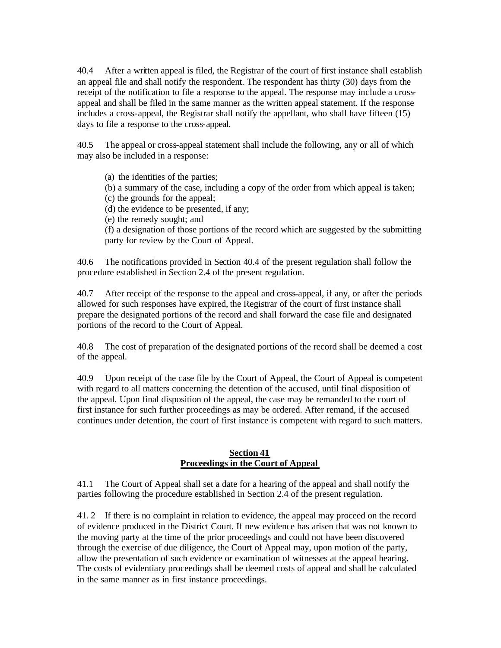40.4 After a written appeal is filed, the Registrar of the court of first instance shall establish an appeal file and shall notify the respondent. The respondent has thirty (30) days from the receipt of the notification to file a response to the appeal. The response may include a crossappeal and shall be filed in the same manner as the written appeal statement. If the response includes a cross-appeal, the Registrar shall notify the appellant, who shall have fifteen (15) days to file a response to the cross-appeal.

40.5 The appeal or cross-appeal statement shall include the following, any or all of which may also be included in a response:

(a) the identities of the parties;

(b) a summary of the case, including a copy of the order from which appeal is taken;

(c) the grounds for the appeal;

(d) the evidence to be presented, if any;

(e) the remedy sought; and

(f) a designation of those portions of the record which are suggested by the submitting party for review by the Court of Appeal.

40.6 The notifications provided in Section 40.4 of the present regulation shall follow the procedure established in Section 2.4 of the present regulation.

40.7 After receipt of the response to the appeal and cross-appeal, if any, or after the periods allowed for such responses have expired, the Registrar of the court of first instance shall prepare the designated portions of the record and shall forward the case file and designated portions of the record to the Court of Appeal.

40.8 The cost of preparation of the designated portions of the record shall be deemed a cost of the appeal.

40.9 Upon receipt of the case file by the Court of Appeal, the Court of Appeal is competent with regard to all matters concerning the detention of the accused, until final disposition of the appeal. Upon final disposition of the appeal, the case may be remanded to the court of first instance for such further proceedings as may be ordered. After remand, if the accused continues under detention, the court of first instance is competent with regard to such matters.

### **Section 41 Proceedings in the Court of Appeal**

41.1 The Court of Appeal shall set a date for a hearing of the appeal and shall notify the parties following the procedure established in Section 2.4 of the present regulation.

41. 2 If there is no complaint in relation to evidence, the appeal may proceed on the record of evidence produced in the District Court. If new evidence has arisen that was not known to the moving party at the time of the prior proceedings and could not have been discovered through the exercise of due diligence, the Court of Appeal may, upon motion of the party, allow the presentation of such evidence or examination of witnesses at the appeal hearing. The costs of evidentiary proceedings shall be deemed costs of appeal and shall be calculated in the same manner as in first instance proceedings.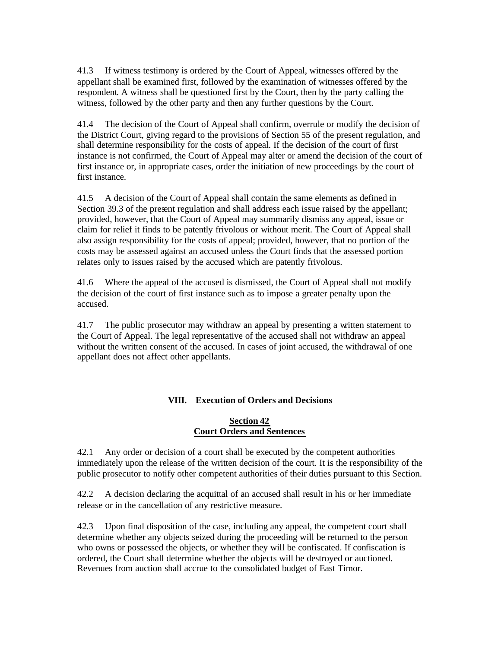41.3 If witness testimony is ordered by the Court of Appeal, witnesses offered by the appellant shall be examined first, followed by the examination of witnesses offered by the respondent. A witness shall be questioned first by the Court, then by the party calling the witness, followed by the other party and then any further questions by the Court.

41.4 The decision of the Court of Appeal shall confirm, overrule or modify the decision of the District Court, giving regard to the provisions of Section 55 of the present regulation, and shall determine responsibility for the costs of appeal. If the decision of the court of first instance is not confirmed, the Court of Appeal may alter or amend the decision of the court of first instance or, in appropriate cases, order the initiation of new proceedings by the court of first instance.

41.5 A decision of the Court of Appeal shall contain the same elements as defined in Section 39.3 of the present regulation and shall address each issue raised by the appellant; provided, however, that the Court of Appeal may summarily dismiss any appeal, issue or claim for relief it finds to be patently frivolous or without merit. The Court of Appeal shall also assign responsibility for the costs of appeal; provided, however, that no portion of the costs may be assessed against an accused unless the Court finds that the assessed portion relates only to issues raised by the accused which are patently frivolous.

41.6 Where the appeal of the accused is dismissed, the Court of Appeal shall not modify the decision of the court of first instance such as to impose a greater penalty upon the accused.

41.7 The public prosecutor may withdraw an appeal by presenting a written statement to the Court of Appeal. The legal representative of the accused shall not withdraw an appeal without the written consent of the accused. In cases of joint accused, the withdrawal of one appellant does not affect other appellants.

### **VIII. Execution of Orders and Decisions**

### **Section 42 Court Orders and Sentences**

42.1 Any order or decision of a court shall be executed by the competent authorities immediately upon the release of the written decision of the court. It is the responsibility of the public prosecutor to notify other competent authorities of their duties pursuant to this Section.

42.2 A decision declaring the acquittal of an accused shall result in his or her immediate release or in the cancellation of any restrictive measure.

42.3 Upon final disposition of the case, including any appeal, the competent court shall determine whether any objects seized during the proceeding will be returned to the person who owns or possessed the objects, or whether they will be confiscated. If confiscation is ordered, the Court shall determine whether the objects will be destroyed or auctioned. Revenues from auction shall accrue to the consolidated budget of East Timor.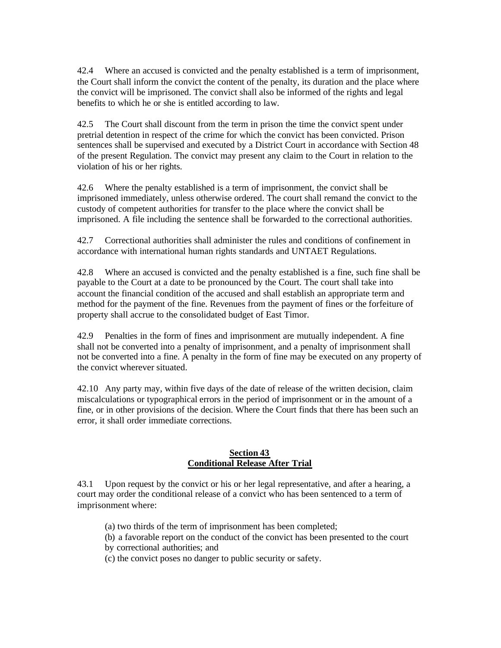42.4 Where an accused is convicted and the penalty established is a term of imprisonment, the Court shall inform the convict the content of the penalty, its duration and the place where the convict will be imprisoned. The convict shall also be informed of the rights and legal benefits to which he or she is entitled according to law.

42.5 The Court shall discount from the term in prison the time the convict spent under pretrial detention in respect of the crime for which the convict has been convicted. Prison sentences shall be supervised and executed by a District Court in accordance with Section 48 of the present Regulation. The convict may present any claim to the Court in relation to the violation of his or her rights.

42.6 Where the penalty established is a term of imprisonment, the convict shall be imprisoned immediately, unless otherwise ordered. The court shall remand the convict to the custody of competent authorities for transfer to the place where the convict shall be imprisoned. A file including the sentence shall be forwarded to the correctional authorities.

42.7 Correctional authorities shall administer the rules and conditions of confinement in accordance with international human rights standards and UNTAET Regulations.

42.8 Where an accused is convicted and the penalty established is a fine, such fine shall be payable to the Court at a date to be pronounced by the Court. The court shall take into account the financial condition of the accused and shall establish an appropriate term and method for the payment of the fine. Revenues from the payment of fines or the forfeiture of property shall accrue to the consolidated budget of East Timor.

42.9 Penalties in the form of fines and imprisonment are mutually independent. A fine shall not be converted into a penalty of imprisonment, and a penalty of imprisonment shall not be converted into a fine. A penalty in the form of fine may be executed on any property of the convict wherever situated.

42.10 Any party may, within five days of the date of release of the written decision, claim miscalculations or typographical errors in the period of imprisonment or in the amount of a fine, or in other provisions of the decision. Where the Court finds that there has been such an error, it shall order immediate corrections.

#### **Section 43 Conditional Release After Trial**

43.1 Upon request by the convict or his or her legal representative, and after a hearing, a court may order the conditional release of a convict who has been sentenced to a term of imprisonment where:

- (a) two thirds of the term of imprisonment has been completed;
- (b) a favorable report on the conduct of the convict has been presented to the court by correctional authorities; and
- (c) the convict poses no danger to public security or safety.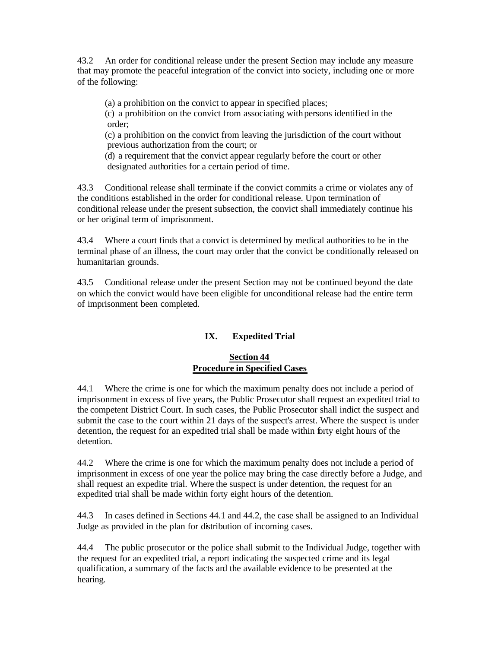43.2 An order for conditional release under the present Section may include any measure that may promote the peaceful integration of the convict into society, including one or more of the following:

(a) a prohibition on the convict to appear in specified places;

(c) a prohibition on the convict from associating with persons identified in the order;

(c) a prohibition on the convict from leaving the jurisdiction of the court without previous authorization from the court; or

(d) a requirement that the convict appear regularly before the court or other designated authorities for a certain period of time.

43.3 Conditional release shall terminate if the convict commits a crime or violates any of the conditions established in the order for conditional release. Upon termination of conditional release under the present subsection, the convict shall immediately continue his or her original term of imprisonment.

43.4 Where a court finds that a convict is determined by medical authorities to be in the terminal phase of an illness, the court may order that the convict be conditionally released on humanitarian grounds.

43.5 Conditional release under the present Section may not be continued beyond the date on which the convict would have been eligible for unconditional release had the entire term of imprisonment been completed.

### **IX. Expedited Trial**

### **Section 44 Procedure in Specified Cases**

44.1 Where the crime is one for which the maximum penalty does not include a period of imprisonment in excess of five years, the Public Prosecutor shall request an expedited trial to the competent District Court. In such cases, the Public Prosecutor shall indict the suspect and submit the case to the court within 21 days of the suspect's arrest. Where the suspect is under detention, the request for an expedited trial shall be made within forty eight hours of the detention.

44.2 Where the crime is one for which the maximum penalty does not include a period of imprisonment in excess of one year the police may bring the case directly before a Judge, and shall request an expedite trial. Where the suspect is under detention, the request for an expedited trial shall be made within forty eight hours of the detention.

44.3 In cases defined in Sections 44.1 and 44.2, the case shall be assigned to an Individual Judge as provided in the plan for distribution of incoming cases.

44.4 The public prosecutor or the police shall submit to the Individual Judge, together with the request for an expedited trial, a report indicating the suspected crime and its legal qualification, a summary of the facts and the available evidence to be presented at the hearing.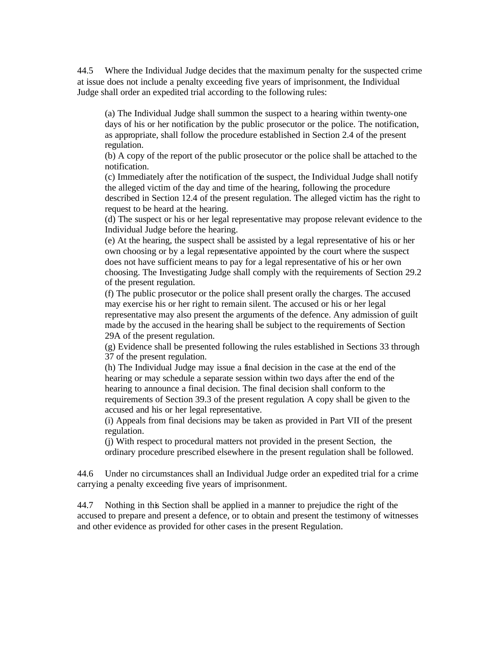44.5 Where the Individual Judge decides that the maximum penalty for the suspected crime at issue does not include a penalty exceeding five years of imprisonment, the Individual Judge shall order an expedited trial according to the following rules:

(a) The Individual Judge shall summon the suspect to a hearing within twenty-one days of his or her notification by the public prosecutor or the police. The notification, as appropriate, shall follow the procedure established in Section 2.4 of the present regulation.

(b) A copy of the report of the public prosecutor or the police shall be attached to the notification.

(c) Immediately after the notification of the suspect, the Individual Judge shall notify the alleged victim of the day and time of the hearing, following the procedure described in Section 12.4 of the present regulation. The alleged victim has the right to request to be heard at the hearing.

(d) The suspect or his or her legal representative may propose relevant evidence to the Individual Judge before the hearing.

(e) At the hearing, the suspect shall be assisted by a legal representative of his or her own choosing or by a legal representative appointed by the court where the suspect does not have sufficient means to pay for a legal representative of his or her own choosing. The Investigating Judge shall comply with the requirements of Section 29.2 of the present regulation.

(f) The public prosecutor or the police shall present orally the charges. The accused may exercise his or her right to remain silent. The accused or his or her legal representative may also present the arguments of the defence. Any admission of guilt made by the accused in the hearing shall be subject to the requirements of Section 29A of the present regulation.

(g) Evidence shall be presented following the rules established in Sections 33 through 37 of the present regulation.

(h) The Individual Judge may issue a final decision in the case at the end of the hearing or may schedule a separate session within two days after the end of the hearing to announce a final decision. The final decision shall conform to the requirements of Section 39.3 of the present regulation. A copy shall be given to the accused and his or her legal representative.

(i) Appeals from final decisions may be taken as provided in Part VII of the present regulation.

(j) With respect to procedural matters not provided in the present Section, the ordinary procedure prescribed elsewhere in the present regulation shall be followed.

44.6 Under no circumstances shall an Individual Judge order an expedited trial for a crime carrying a penalty exceeding five years of imprisonment.

44.7 Nothing in this Section shall be applied in a manner to prejudice the right of the accused to prepare and present a defence, or to obtain and present the testimony of witnesses and other evidence as provided for other cases in the present Regulation.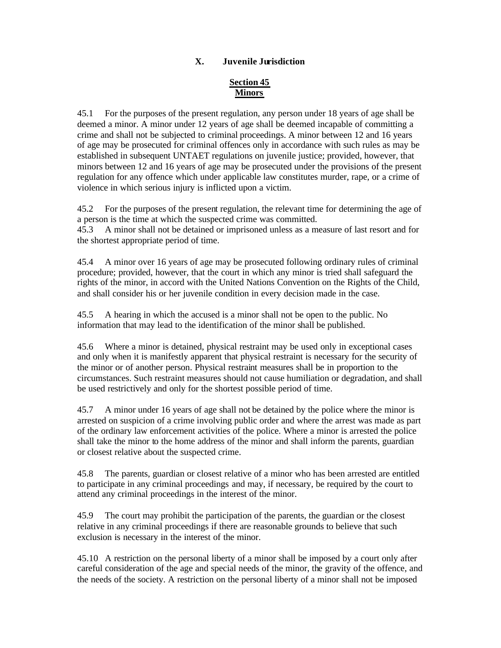### **X. Juvenile Jurisdiction**

## **Section 45 Minors**

45.1 For the purposes of the present regulation, any person under 18 years of age shall be deemed a minor. A minor under 12 years of age shall be deemed incapable of committing a crime and shall not be subjected to criminal proceedings. A minor between 12 and 16 years of age may be prosecuted for criminal offences only in accordance with such rules as may be established in subsequent UNTAET regulations on juvenile justice; provided, however, that minors between 12 and 16 years of age may be prosecuted under the provisions of the present regulation for any offence which under applicable law constitutes murder, rape, or a crime of violence in which serious injury is inflicted upon a victim.

45.2 For the purposes of the present regulation, the relevant time for determining the age of a person is the time at which the suspected crime was committed.

45.3 A minor shall not be detained or imprisoned unless as a measure of last resort and for the shortest appropriate period of time.

45.4 A minor over 16 years of age may be prosecuted following ordinary rules of criminal procedure; provided, however, that the court in which any minor is tried shall safeguard the rights of the minor, in accord with the United Nations Convention on the Rights of the Child, and shall consider his or her juvenile condition in every decision made in the case.

45.5 A hearing in which the accused is a minor shall not be open to the public. No information that may lead to the identification of the minor shall be published.

45.6 Where a minor is detained, physical restraint may be used only in exceptional cases and only when it is manifestly apparent that physical restraint is necessary for the security of the minor or of another person. Physical restraint measures shall be in proportion to the circumstances. Such restraint measures should not cause humiliation or degradation, and shall be used restrictively and only for the shortest possible period of time.

45.7 A minor under 16 years of age shall not be detained by the police where the minor is arrested on suspicion of a crime involving public order and where the arrest was made as part of the ordinary law enforcement activities of the police. Where a minor is arrested the police shall take the minor to the home address of the minor and shall inform the parents, guardian or closest relative about the suspected crime.

45.8 The parents, guardian or closest relative of a minor who has been arrested are entitled to participate in any criminal proceedings and may, if necessary, be required by the court to attend any criminal proceedings in the interest of the minor.

45.9 The court may prohibit the participation of the parents, the guardian or the closest relative in any criminal proceedings if there are reasonable grounds to believe that such exclusion is necessary in the interest of the minor.

45.10 A restriction on the personal liberty of a minor shall be imposed by a court only after careful consideration of the age and special needs of the minor, the gravity of the offence, and the needs of the society. A restriction on the personal liberty of a minor shall not be imposed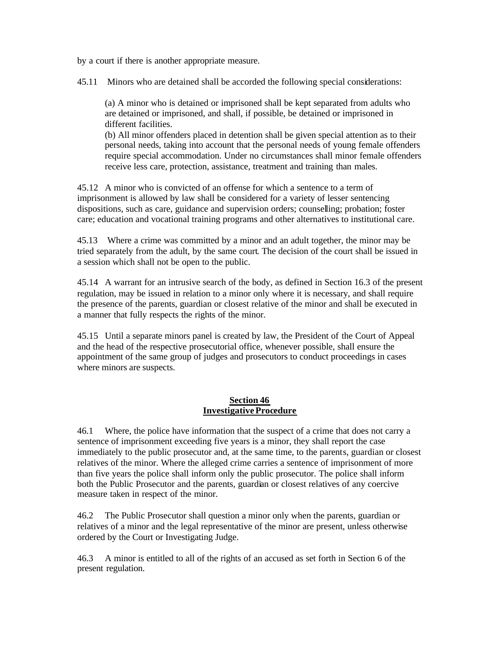by a court if there is another appropriate measure.

45.11 Minors who are detained shall be accorded the following special considerations:

(a) A minor who is detained or imprisoned shall be kept separated from adults who are detained or imprisoned, and shall, if possible, be detained or imprisoned in different facilities.

(b) All minor offenders placed in detention shall be given special attention as to their personal needs, taking into account that the personal needs of young female offenders require special accommodation. Under no circumstances shall minor female offenders receive less care, protection, assistance, treatment and training than males.

45.12 A minor who is convicted of an offense for which a sentence to a term of imprisonment is allowed by law shall be considered for a variety of lesser sentencing dispositions, such as care, guidance and supervision orders; counselling; probation; foster care; education and vocational training programs and other alternatives to institutional care.

45.13 Where a crime was committed by a minor and an adult together, the minor may be tried separately from the adult, by the same court. The decision of the court shall be issued in a session which shall not be open to the public.

45.14 A warrant for an intrusive search of the body, as defined in Section 16.3 of the present regulation, may be issued in relation to a minor only where it is necessary, and shall require the presence of the parents, guardian or closest relative of the minor and shall be executed in a manner that fully respects the rights of the minor.

45.15 Until a separate minors panel is created by law, the President of the Court of Appeal and the head of the respective prosecutorial office, whenever possible, shall ensure the appointment of the same group of judges and prosecutors to conduct proceedings in cases where minors are suspects.

#### **Section 46 Investigative Procedure**

46.1 Where, the police have information that the suspect of a crime that does not carry a sentence of imprisonment exceeding five years is a minor, they shall report the case immediately to the public prosecutor and, at the same time, to the parents, guardian or closest relatives of the minor. Where the alleged crime carries a sentence of imprisonment of more than five years the police shall inform only the public prosecutor. The police shall inform both the Public Prosecutor and the parents, guardian or closest relatives of any coercive measure taken in respect of the minor.

46.2 The Public Prosecutor shall question a minor only when the parents, guardian or relatives of a minor and the legal representative of the minor are present, unless otherwise ordered by the Court or Investigating Judge.

46.3 A minor is entitled to all of the rights of an accused as set forth in Section 6 of the present regulation.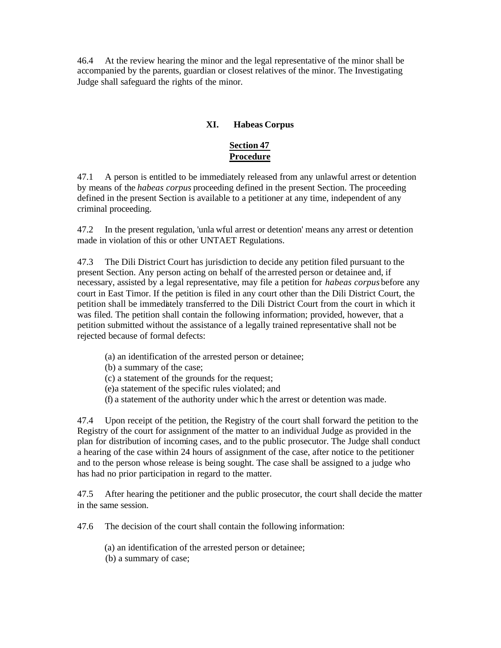46.4 At the review hearing the minor and the legal representative of the minor shall be accompanied by the parents, guardian or closest relatives of the minor. The Investigating Judge shall safeguard the rights of the minor.

### **XI. Habeas Corpus**

# **Section 47 Procedure**

47.1 A person is entitled to be immediately released from any unlawful arrest or detention by means of the *habeas corpus* proceeding defined in the present Section. The proceeding defined in the present Section is available to a petitioner at any time, independent of any criminal proceeding.

47.2 In the present regulation, 'unla wful arrest or detention' means any arrest or detention made in violation of this or other UNTAET Regulations.

47.3 The Dili District Court has jurisdiction to decide any petition filed pursuant to the present Section. Any person acting on behalf of the arrested person or detainee and, if necessary, assisted by a legal representative, may file a petition for *habeas corpus* before any court in East Timor. If the petition is filed in any court other than the Dili District Court, the petition shall be immediately transferred to the Dili District Court from the court in which it was filed. The petition shall contain the following information; provided, however, that a petition submitted without the assistance of a legally trained representative shall not be rejected because of formal defects:

- (a) an identification of the arrested person or detainee;
- (b) a summary of the case;
- (c) a statement of the grounds for the request;
- (e)a statement of the specific rules violated; and
- (f) a statement of the authority under whic h the arrest or detention was made.

47.4 Upon receipt of the petition, the Registry of the court shall forward the petition to the Registry of the court for assignment of the matter to an individual Judge as provided in the plan for distribution of incoming cases, and to the public prosecutor. The Judge shall conduct a hearing of the case within 24 hours of assignment of the case, after notice to the petitioner and to the person whose release is being sought. The case shall be assigned to a judge who has had no prior participation in regard to the matter.

47.5 After hearing the petitioner and the public prosecutor, the court shall decide the matter in the same session.

47.6 The decision of the court shall contain the following information:

(a) an identification of the arrested person or detainee;

(b) a summary of case;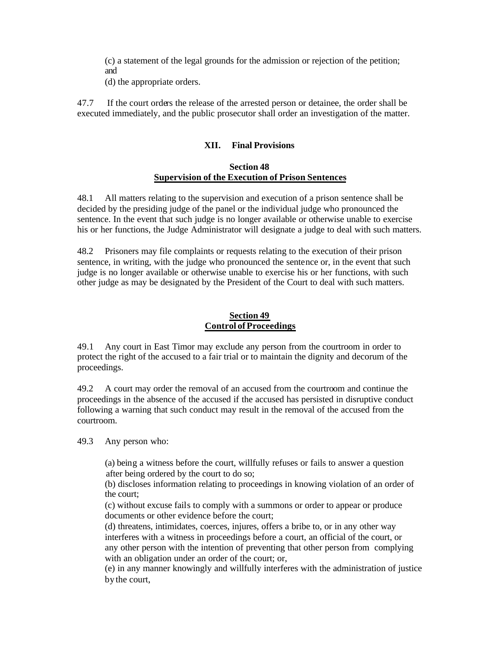(c) a statement of the legal grounds for the admission or rejection of the petition; and

(d) the appropriate orders.

47.7 If the court orders the release of the arrested person or detainee, the order shall be executed immediately, and the public prosecutor shall order an investigation of the matter.

#### **XII. Final Provisions**

#### **Section 48 Supervision of the Execution of Prison Sentences**

48.1 All matters relating to the supervision and execution of a prison sentence shall be decided by the presiding judge of the panel or the individual judge who pronounced the sentence. In the event that such judge is no longer available or otherwise unable to exercise his or her functions, the Judge Administrator will designate a judge to deal with such matters.

48.2 Prisoners may file complaints or requests relating to the execution of their prison sentence, in writing, with the judge who pronounced the sentence or, in the event that such judge is no longer available or otherwise unable to exercise his or her functions, with such other judge as may be designated by the President of the Court to deal with such matters.

### **Section 49 Control of Proceedings**

49.1 Any court in East Timor may exclude any person from the courtroom in order to protect the right of the accused to a fair trial or to maintain the dignity and decorum of the proceedings.

49.2 A court may order the removal of an accused from the courtroom and continue the proceedings in the absence of the accused if the accused has persisted in disruptive conduct following a warning that such conduct may result in the removal of the accused from the courtroom.

49.3 Any person who:

 (a) being a witness before the court, willfully refuses or fails to answer a question after being ordered by the court to do so;

(b) discloses information relating to proceedings in knowing violation of an order of the court;

(c) without excuse fails to comply with a summons or order to appear or produce documents or other evidence before the court;

(d) threatens, intimidates, coerces, injures, offers a bribe to, or in any other way interferes with a witness in proceedings before a court, an official of the court, or any other person with the intention of preventing that other person from complying with an obligation under an order of the court; or,

(e) in any manner knowingly and willfully interferes with the administration of justice by the court,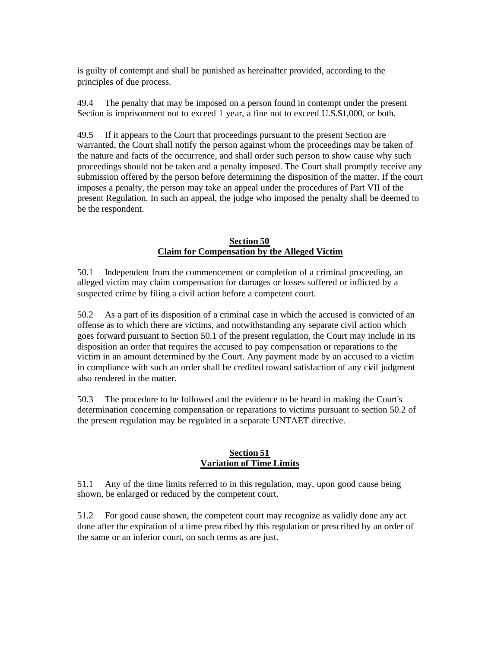is guilty of contempt and shall be punished as hereinafter provided, according to the principles of due process.

49.4 The penalty that may be imposed on a person found in contempt under the present Section is imprisonment not to exceed 1 year, a fine not to exceed U.S.\$1,000, or both.

49.5 If it appears to the Court that proceedings pursuant to the present Section are warranted, the Court shall notify the person against whom the proceedings may be taken of the nature and facts of the occurrence, and shall order such person to show cause why such proceedings should not be taken and a penalty imposed. The Court shall promptly receive any submission offered by the person before determining the disposition of the matter. If the court imposes a penalty, the person may take an appeal under the procedures of Part VII of the present Regulation. In such an appeal, the judge who imposed the penalty shall be deemed to be the respondent.

#### **Section 50 Claim for Compensation by the Alleged Victim**

50.1 Independent from the commencement or completion of a criminal proceeding, an alleged victim may claim compensation for damages or losses suffered or inflicted by a suspected crime by filing a civil action before a competent court.

50.2 As a part of its disposition of a criminal case in which the accused is convicted of an offense as to which there are victims, and notwithstanding any separate civil action which goes forward pursuant to Section 50.1 of the present regulation, the Court may include in its disposition an order that requires the accused to pay compensation or reparations to the victim in an amount determined by the Court. Any payment made by an accused to a victim in compliance with such an order shall be credited toward satisfaction of any civil judgment also rendered in the matter.

50.3 The procedure to be followed and the evidence to be heard in making the Court's determination concerning compensation or reparations to victims pursuant to section 50.2 of the present regulation may be regulated in a separate UNTAET directive.

#### **Section 51 Variation of Time Limits**

51.1 Any of the time limits referred to in this regulation, may, upon good cause being shown, be enlarged or reduced by the competent court.

51.2 For good cause shown, the competent court may recognize as validly done any act done after the expiration of a time prescribed by this regulation or prescribed by an order of the same or an inferior court, on such terms as are just.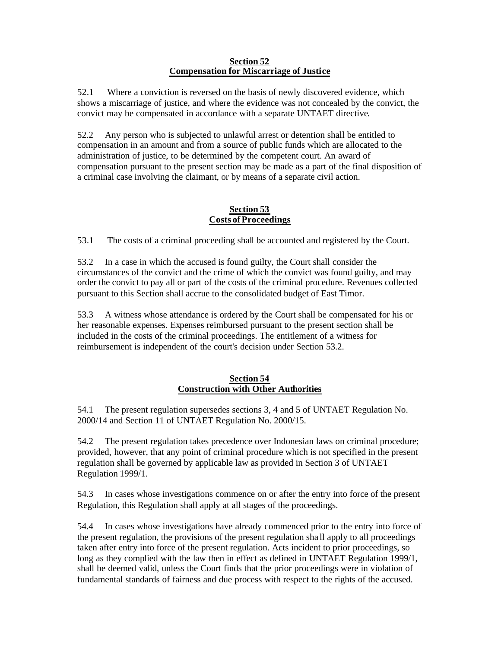#### **Section 52 Compensation for Miscarriage of Justice**

52.1 Where a conviction is reversed on the basis of newly discovered evidence, which shows a miscarriage of justice, and where the evidence was not concealed by the convict, the convict may be compensated in accordance with a separate UNTAET directive.

52.2 Any person who is subjected to unlawful arrest or detention shall be entitled to compensation in an amount and from a source of public funds which are allocated to the administration of justice, to be determined by the competent court. An award of compensation pursuant to the present section may be made as a part of the final disposition of a criminal case involving the claimant, or by means of a separate civil action.

### **Section 53 Costs of Proceedings**

53.1 The costs of a criminal proceeding shall be accounted and registered by the Court.

53.2 In a case in which the accused is found guilty, the Court shall consider the circumstances of the convict and the crime of which the convict was found guilty, and may order the convict to pay all or part of the costs of the criminal procedure. Revenues collected pursuant to this Section shall accrue to the consolidated budget of East Timor.

53.3 A witness whose attendance is ordered by the Court shall be compensated for his or her reasonable expenses. Expenses reimbursed pursuant to the present section shall be included in the costs of the criminal proceedings. The entitlement of a witness for reimbursement is independent of the court's decision under Section 53.2.

### **Section 54 Construction with Other Authorities**

54.1 The present regulation supersedes sections 3, 4 and 5 of UNTAET Regulation No. 2000/14 and Section 11 of UNTAET Regulation No. 2000/15.

54.2 The present regulation takes precedence over Indonesian laws on criminal procedure; provided, however, that any point of criminal procedure which is not specified in the present regulation shall be governed by applicable law as provided in Section 3 of UNTAET Regulation 1999/1.

54.3 In cases whose investigations commence on or after the entry into force of the present Regulation, this Regulation shall apply at all stages of the proceedings.

54.4 In cases whose investigations have already commenced prior to the entry into force of the present regulation, the provisions of the present regulation sha ll apply to all proceedings taken after entry into force of the present regulation. Acts incident to prior proceedings, so long as they complied with the law then in effect as defined in UNTAET Regulation 1999/1, shall be deemed valid, unless the Court finds that the prior proceedings were in violation of fundamental standards of fairness and due process with respect to the rights of the accused.